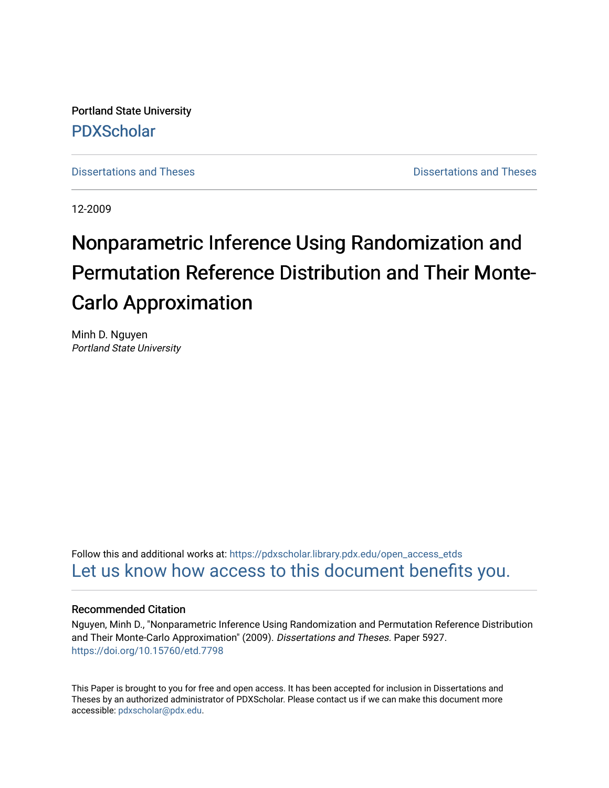Portland State University [PDXScholar](https://pdxscholar.library.pdx.edu/)

[Dissertations and Theses](https://pdxscholar.library.pdx.edu/open_access_etds) **Distributions** and Theses **Distributions** and Theses

12-2009

# Nonparametric Inference Using Randomization and Permutation Reference Distribution and Their Monte-Carlo Approximation

Minh D. Nguyen Portland State University

Follow this and additional works at: [https://pdxscholar.library.pdx.edu/open\\_access\\_etds](https://pdxscholar.library.pdx.edu/open_access_etds?utm_source=pdxscholar.library.pdx.edu%2Fopen_access_etds%2F5927&utm_medium=PDF&utm_campaign=PDFCoverPages) [Let us know how access to this document benefits you.](http://library.pdx.edu/services/pdxscholar-services/pdxscholar-feedback/) 

## Recommended Citation

Nguyen, Minh D., "Nonparametric Inference Using Randomization and Permutation Reference Distribution and Their Monte-Carlo Approximation" (2009). Dissertations and Theses. Paper 5927. <https://doi.org/10.15760/etd.7798>

This Paper is brought to you for free and open access. It has been accepted for inclusion in Dissertations and Theses by an authorized administrator of PDXScholar. Please contact us if we can make this document more accessible: [pdxscholar@pdx.edu.](mailto:pdxscholar@pdx.edu)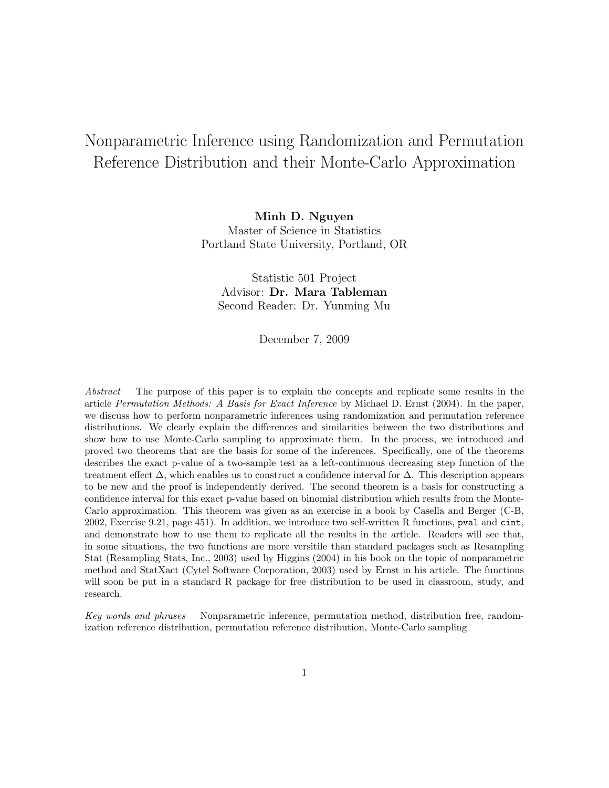## Nonparametric Inference using Randomization and Permutation Reference Distribution and their Monte-Carlo Approximation

Minh D. Nguyen Master of Science in Statistics Portland State University, Portland, OR

Statistic 501 Project Advisor: Dr. Mara Tableman Second Reader: Dr. Yunming Mu

December 7, 2009

Abstract The purpose of this paper is to explain the concepts and replicate some results in the article Permutation Methods: A Basis for Exact Inference by Michael D. Ernst (2004). In the paper, we discuss how to perform nonparametric inferences using randomization and permutation reference distributions. We clearly explain the differences and similarities between the two distributions and show how to use Monte-Carlo sampling to approximate them. In the process, we introduced and proved two theorems that are the basis for some of the inferences. Specifically, one of the theorems describes the exact p-value of a two-sample test as a left-continuous decreasing step function of the treatment effect  $\Delta$ , which enables us to construct a confidence interval for  $\Delta$ . This description appears to be new and the proof is independently derived. The second theorem is a basis for constructing a confidence interval for this exact p-value based on binomial distribution which results from the Monte-Carlo approximation. This theorem was given as an exercise in a book by Casella and Berger (C-B, 2002, Exercise 9.21, page 451). In addition, we introduce two self-written R functions, pval and cint, and demonstrate how to use them to replicate all the results in the article. Readers will see that, in some situations, the two functions are more versitile than standard packages such as Resampling Stat (Resampling Stats, Inc., 2003) used by Higgins (2004) in his book on the topic of nonparametric method and StatXact (Cytel Software Corporation, 2003) used by Ernst in his article. The functions will soon be put in a standard R package for free distribution to be used in classroom, study, and research.

Key words and phrases Nonparametric inference, permutation method, distribution free, randomization reference distribution, permutation reference distribution, Monte-Carlo sampling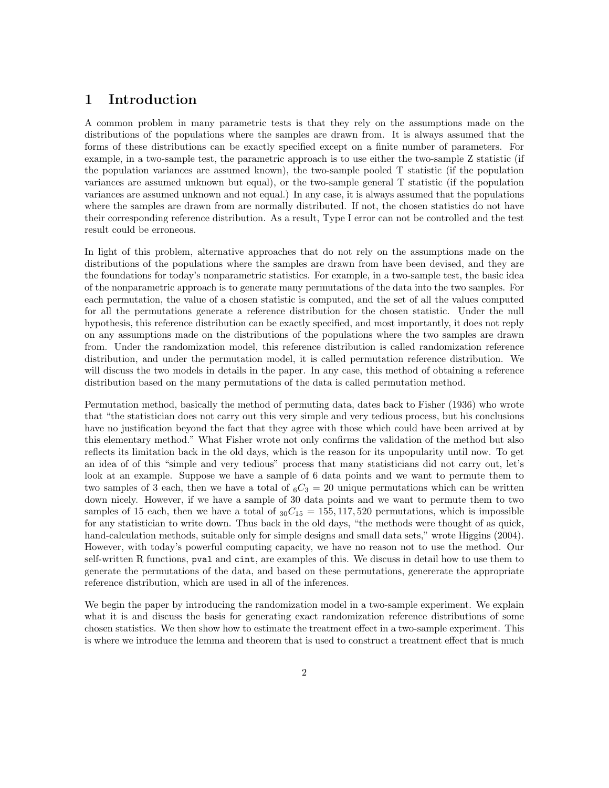## 1 Introduction

A common problem in many parametric tests is that they rely on the assumptions made on the distributions of the populations where the samples are drawn from. It is always assumed that the forms of these distributions can be exactly specified except on a finite number of parameters. For example, in a two-sample test, the parametric approach is to use either the two-sample Z statistic (if the population variances are assumed known), the two-sample pooled T statistic (if the population variances are assumed unknown but equal), or the two-sample general T statistic (if the population variances are assumed unknown and not equal.) In any case, it is always assumed that the populations where the samples are drawn from are normally distributed. If not, the chosen statistics do not have their corresponding reference distribution. As a result, Type I error can not be controlled and the test result could be erroneous.

In light of this problem, alternative approaches that do not rely on the assumptions made on the distributions of the populations where the samples are drawn from have been devised, and they are the foundations for today's nonparametric statistics. For example, in a two-sample test, the basic idea of the nonparametric approach is to generate many permutations of the data into the two samples. For each permutation, the value of a chosen statistic is computed, and the set of all the values computed for all the permutations generate a reference distribution for the chosen statistic. Under the null hypothesis, this reference distribution can be exactly specified, and most importantly, it does not reply on any assumptions made on the distributions of the populations where the two samples are drawn from. Under the randomization model, this reference distribution is called randomization reference distribution, and under the permutation model, it is called permutation reference distribution. We will discuss the two models in details in the paper. In any case, this method of obtaining a reference distribution based on the many permutations of the data is called permutation method.

Permutation method, basically the method of permuting data, dates back to Fisher (1936) who wrote that "the statistician does not carry out this very simple and very tedious process, but his conclusions have no justification beyond the fact that they agree with those which could have been arrived at by this elementary method." What Fisher wrote not only confirms the validation of the method but also reflects its limitation back in the old days, which is the reason for its unpopularity until now. To get an idea of of this "simple and very tedious" process that many statisticians did not carry out, let's look at an example. Suppose we have a sample of 6 data points and we want to permute them to two samples of 3 each, then we have a total of  ${}_{6}C_{3} = 20$  unique permutations which can be written down nicely. However, if we have a sample of 30 data points and we want to permute them to two samples of 15 each, then we have a total of  ${}_{30}C_{15} = 155,117,520$  permutations, which is impossible for any statistician to write down. Thus back in the old days, "the methods were thought of as quick, hand-calculation methods, suitable only for simple designs and small data sets," wrote Higgins (2004). However, with today's powerful computing capacity, we have no reason not to use the method. Our self-written R functions, pval and cint, are examples of this. We discuss in detail how to use them to generate the permutations of the data, and based on these permutations, genererate the appropriate reference distribution, which are used in all of the inferences.

We begin the paper by introducing the randomization model in a two-sample experiment. We explain what it is and discuss the basis for generating exact randomization reference distributions of some chosen statistics. We then show how to estimate the treatment effect in a two-sample experiment. This is where we introduce the lemma and theorem that is used to construct a treatment effect that is much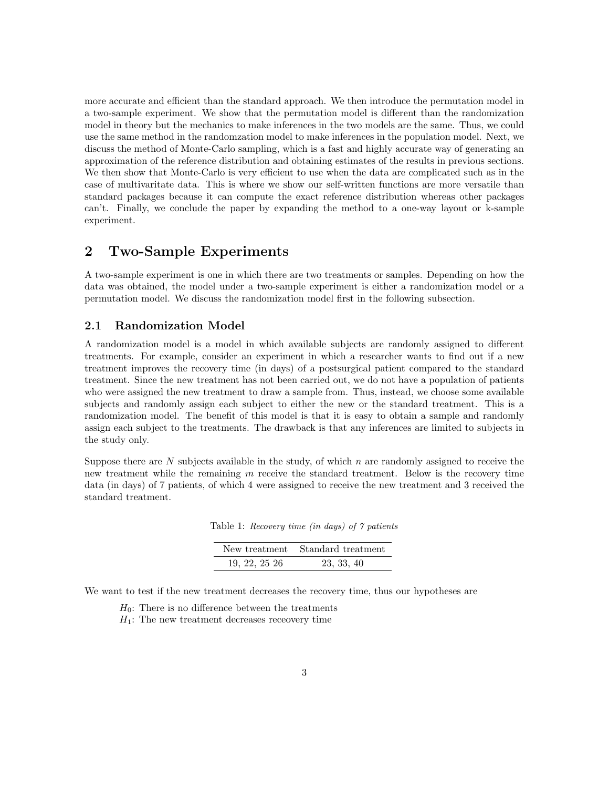more accurate and efficient than the standard approach. We then introduce the permutation model in a two-sample experiment. We show that the permutation model is different than the randomization model in theory but the mechanics to make inferences in the two models are the same. Thus, we could use the same method in the randomzation model to make inferences in the population model. Next, we discuss the method of Monte-Carlo sampling, which is a fast and highly accurate way of generating an approximation of the reference distribution and obtaining estimates of the results in previous sections. We then show that Monte-Carlo is very efficient to use when the data are complicated such as in the case of multivaritate data. This is where we show our self-written functions are more versatile than standard packages because it can compute the exact reference distribution whereas other packages can't. Finally, we conclude the paper by expanding the method to a one-way layout or k-sample experiment.

## 2 Two-Sample Experiments

A two-sample experiment is one in which there are two treatments or samples. Depending on how the data was obtained, the model under a two-sample experiment is either a randomization model or a permutation model. We discuss the randomization model first in the following subsection.

#### 2.1 Randomization Model

A randomization model is a model in which available subjects are randomly assigned to different treatments. For example, consider an experiment in which a researcher wants to find out if a new treatment improves the recovery time (in days) of a postsurgical patient compared to the standard treatment. Since the new treatment has not been carried out, we do not have a population of patients who were assigned the new treatment to draw a sample from. Thus, instead, we choose some available subjects and randomly assign each subject to either the new or the standard treatment. This is a randomization model. The benefit of this model is that it is easy to obtain a sample and randomly assign each subject to the treatments. The drawback is that any inferences are limited to subjects in the study only.

Suppose there are N subjects available in the study, of which  $n$  are randomly assigned to receive the new treatment while the remaining  $m$  receive the standard treatment. Below is the recovery time data (in days) of 7 patients, of which 4 were assigned to receive the new treatment and 3 received the standard treatment.

Table 1: Recovery time (in days) of 7 patients

|                | New treatment Standard treatment |  |  |  |
|----------------|----------------------------------|--|--|--|
| 19, 22, 25, 26 | 23, 33, 40                       |  |  |  |

We want to test if the new treatment decreases the recovery time, thus our hypotheses are

- $H_0$ : There is no difference between the treatments
- $H_1$ : The new treatment decreases recevery time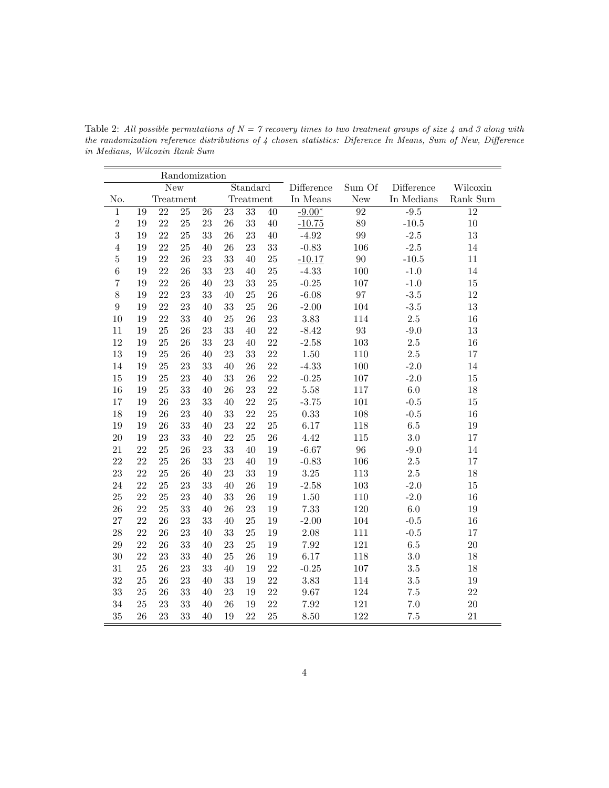|                |            |           | Randomization |          |           |                 |            |          |            |          |        |
|----------------|------------|-----------|---------------|----------|-----------|-----------------|------------|----------|------------|----------|--------|
|                | <b>New</b> |           |               | Standard |           |                 | Difference | Sum Of   | Difference | Wilcoxin |        |
| No.            |            | Treatment |               |          | Treatment |                 | In Means   | New      | In Medians | Rank Sum |        |
| $\mathbf 1$    | 19         | 22        | 25            | 26       | 23        | $\overline{33}$ | 40         | $-9.00*$ | 92         | $-9.5$   | 12     |
| $\overline{2}$ | 19         | 22        | 25            | 23       | 26        | 33              | 40         | $-10.75$ | 89         | $-10.5$  | $10\,$ |
| 3              | 19         | 22        | 25            | 33       | 26        | 23              | 40         | $-4.92$  | 99         | $-2.5$   | 13     |
| $\overline{4}$ | 19         | 22        | 25            | 40       | 26        | 23              | 33         | $-0.83$  | 106        | $-2.5$   | 14     |
| $\bf 5$        | 19         | 22        | 26            | 23       | 33        | 40              | 25         | $-10.17$ | 90         | $-10.5$  | 11     |
| $\,6$          | 19         | 22        | 26            | 33       | 23        | 40              | 25         | $-4.33$  | 100        | $-1.0$   | 14     |
| 7              | 19         | 22        | 26            | 40       | 23        | 33              | 25         | $-0.25$  | 107        | $-1.0$   | 15     |
| 8              | 19         | 22        | 23            | 33       | 40        | 25              | 26         | $-6.08$  | 97         | $-3.5$   | 12     |
| 9              | 19         | 22        | 23            | 40       | 33        | 25              | 26         | $-2.00$  | 104        | $-3.5$   | 13     |
| 10             | 19         | 22        | 33            | 40       | 25        | 26              | 23         | 3.83     | 114        | 2.5      | 16     |
| 11             | 19         | 25        | 26            | 23       | 33        | 40              | 22         | $-8.42$  | 93         | $-9.0$   | 13     |
| 12             | 19         | 25        | 26            | 33       | 23        | 40              | 22         | $-2.58$  | 103        | 2.5      | 16     |
| 13             | 19         | 25        | 26            | 40       | 23        | 33              | 22         | 1.50     | 110        | $2.5\,$  | 17     |
| 14             | 19         | 25        | 23            | 33       | 40        | 26              | 22         | $-4.33$  | 100        | $-2.0$   | 14     |
| 15             | 19         | 25        | 23            | 40       | 33        | 26              | 22         | $-0.25$  | $107\,$    | $-2.0$   | 15     |
| 16             | 19         | 25        | 33            | 40       | 26        | 23              | 22         | 5.58     | 117        | 6.0      | 18     |
| 17             | 19         | 26        | 23            | 33       | 40        | 22              | 25         | $-3.75$  | 101        | $-0.5$   | 15     |
| 18             | 19         | 26        | 23            | 40       | 33        | 22              | 25         | 0.33     | 108        | $-0.5$   | 16     |
| 19             | 19         | 26        | 33            | 40       | 23        | 22              | 25         | 6.17     | 118        | $6.5\,$  | 19     |
| 20             | 19         | 23        | 33            | 40       | 22        | 25              | 26         | 4.42     | 115        | $3.0\,$  | 17     |
| 21             | 22         | 25        | 26            | 23       | 33        | 40              | 19         | $-6.67$  | 96         | $-9.0$   | 14     |
| 22             | 22         | 25        | 26            | 33       | 23        | 40              | 19         | $-0.83$  | 106        | 2.5      | 17     |

23 22 25 26 40 23 33 19 3.25 113 2.5 18 24 22 25 23 33 40 26 19 -2.58 103 -2.0 15 25 22 25 23 40 33 26 19 1.50 110 -2.0 16 26 22 25 33 40 26 23 19 7.33 120 6.0 19 27 22 26 23 33 40 25 19 -2.00 104 -0.5 16 28 22 26 23 40 33 25 19 2.08 111 -0.5 17 29 22 26 33 40 23 25 19 7.92 121 6.5 20 30 22 23 33 40 25 26 19 6.17 118 3.0 18 31 25 26 23 33 40 19 22 -0.25 107 3.5 18 32 25 26 23 40 33 19 22 3.83 114 3.5 19 33 25 26 33 40 23 19 22 9.67 124 7.5 22 34 25 23 33 40 26 19 22 7.92 121 7.0 20 35 26 23 33 40 19 22 25 8.50 122 7.5 21

Table 2: All possible permutations of  $N = 7$  recovery times to two treatment groups of size 4 and 3 along with the randomization reference distributions of 4 chosen statistics: Diference In Means, Sum of New, Difference in Medians, Wilcoxin Rank Sum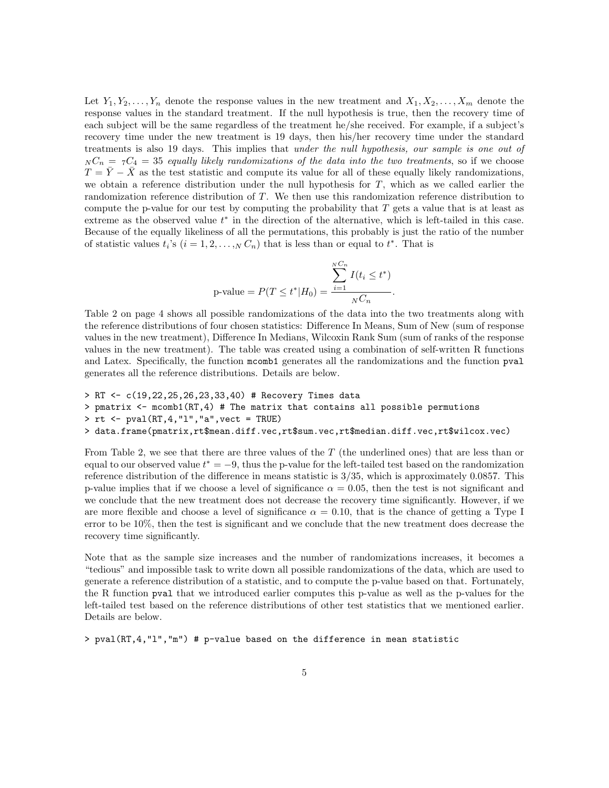Let  $Y_1, Y_2, \ldots, Y_n$  denote the response values in the new treatment and  $X_1, X_2, \ldots, X_m$  denote the response values in the standard treatment. If the null hypothesis is true, then the recovery time of each subject will be the same regardless of the treatment he/she received. For example, if a subject's recovery time under the new treatment is 19 days, then his/her recovery time under the standard treatments is also 19 days. This implies that under the null hypothesis, our sample is one out of  $N_{N}C_{n} = 7C_{4} = 35$  equally likely randomizations of the data into the two treatments, so if we choose  $T = \overline{Y} - \overline{X}$  as the test statistic and compute its value for all of these equally likely randomizations, we obtain a reference distribution under the null hypothesis for  $T$ , which as we called earlier the randomization reference distribution of T. We then use this randomization reference distribution to compute the p-value for our test by computing the probability that  $T$  gets a value that is at least as extreme as the observed value  $t^*$  in the direction of the alternative, which is left-tailed in this case. Because of the equally likeliness of all the permutations, this probably is just the ratio of the number of statistic values  $t_i$ 's  $(i = 1, 2, ..., N C_n)$  that is less than or equal to  $t^*$ . That is

$$
\text{p-value} = P(T \le t^* | H_0) = \frac{\sum_{i=1}^{N C_n} I(t_i \le t^*)}{N C_n}.
$$

Table 2 on page 4 shows all possible randomizations of the data into the two treatments along with the reference distributions of four chosen statistics: Difference In Means, Sum of New (sum of response values in the new treatment), Difference In Medians, Wilcoxin Rank Sum (sum of ranks of the response values in the new treatment). The table was created using a combination of self-written R functions and Latex. Specifically, the function mcomb1 generates all the randomizations and the function pval generates all the reference distributions. Details are below.

```
> RT <- c(19,22,25,26,23,33,40) # Recovery Times data
> pmatrix <- mcomb1(RT,4) # The matrix that contains all possible permutions
> rt <- pval(RT,4,"l","a",vect = TRUE)
> data.frame(pmatrix,rt$mean.diff.vec,rt$sum.vec,rt$median.diff.vec,rt$wilcox.vec)
```
From Table 2, we see that there are three values of the  $T$  (the underlined ones) that are less than or equal to our observed value  $t^* = -9$ , thus the p-value for the left-tailed test based on the randomization reference distribution of the difference in means statistic is 3/35, which is approximately 0.0857. This p-value implies that if we choose a level of significance  $\alpha = 0.05$ , then the test is not significant and we conclude that the new treatment does not decrease the recovery time significantly. However, if we are more flexible and choose a level of significance  $\alpha = 0.10$ , that is the chance of getting a Type I error to be 10%, then the test is significant and we conclude that the new treatment does decrease the recovery time significantly.

Note that as the sample size increases and the number of randomizations increases, it becomes a "tedious" and impossible task to write down all possible randomizations of the data, which are used to generate a reference distribution of a statistic, and to compute the p-value based on that. Fortunately, the R function pval that we introduced earlier computes this p-value as well as the p-values for the left-tailed test based on the reference distributions of other test statistics that we mentioned earlier. Details are below.

> pval(RT,4,"l","m") # p-value based on the difference in mean statistic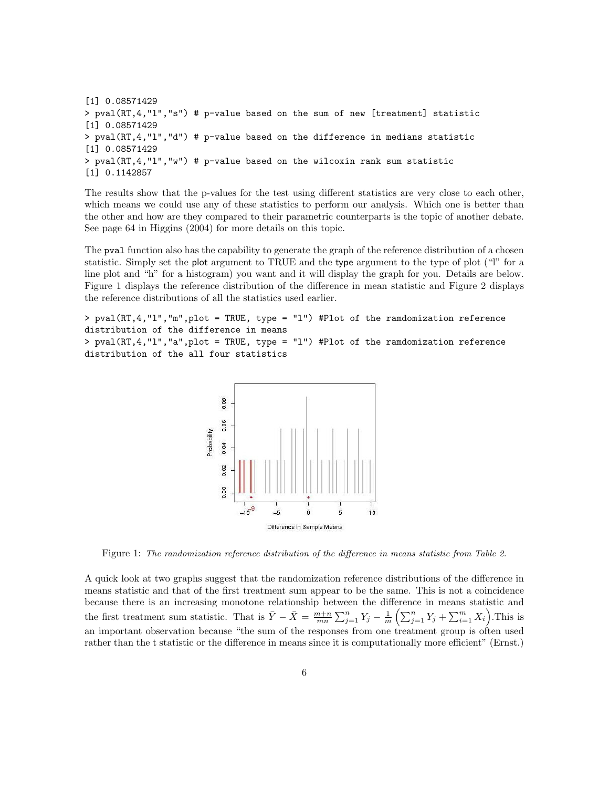[1] 0.08571429 > pval(RT,4,"l","s") # p-value based on the sum of new [treatment] statistic [1] 0.08571429 > pval(RT,4,"l","d") # p-value based on the difference in medians statistic [1] 0.08571429 > pval(RT,4,"l","w") # p-value based on the wilcoxin rank sum statistic [1] 0.1142857

The results show that the p-values for the test using different statistics are very close to each other, which means we could use any of these statistics to perform our analysis. Which one is better than the other and how are they compared to their parametric counterparts is the topic of another debate. See page 64 in Higgins (2004) for more details on this topic.

The pval function also has the capability to generate the graph of the reference distribution of a chosen statistic. Simply set the plot argument to TRUE and the type argument to the type of plot ("l" for a line plot and "h" for a histogram) you want and it will display the graph for you. Details are below. Figure 1 displays the reference distribution of the difference in mean statistic and Figure 2 displays the reference distributions of all the statistics used earlier.

> pval(RT,4,"l","m",plot = TRUE, type = "l") #Plot of the ramdomization reference distribution of the difference in means > pval(RT,4,"l","a",plot = TRUE, type = "l") #Plot of the ramdomization reference distribution of the all four statistics



Figure 1: The randomization reference distribution of the difference in means statistic from Table 2.

A quick look at two graphs suggest that the randomization reference distributions of the difference in means statistic and that of the first treatment sum appear to be the same. This is not a coincidence because there is an increasing monotone relationship between the difference in means statistic and the first treatment sum statistic. That is  $\bar{Y} - \bar{X} = \frac{m+n}{mn} \sum_{j=1}^n Y_j - \frac{1}{m} \left( \sum_{j=1}^n Y_j + \sum_{i=1}^m X_i \right)$ . This is an important observation because "the sum of the responses from one treatment group is often used rather than the t statistic or the difference in means since it is computationally more efficient" (Ernst.)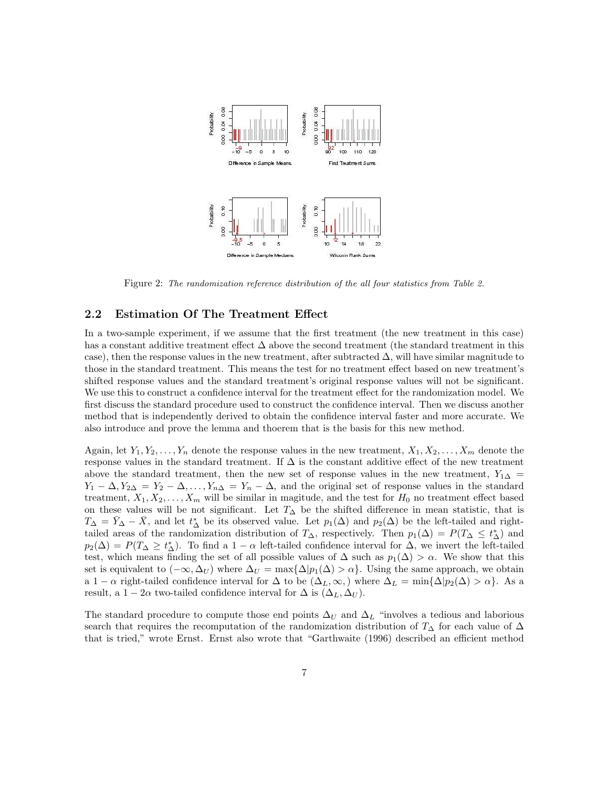

Figure 2: The randomization reference distribution of the all four statistics from Table 2.

#### 2.2 Estimation Of The Treatment Effect

In a two-sample experiment, if we assume that the first treatment (the new treatment in this case) has a constant additive treatment effect ∆ above the second treatment (the standard treatment in this case), then the response values in the new treatment, after subtracted  $\Delta$ , will have similar magnitude to those in the standard treatment. This means the test for no treatment effect based on new treatment's shifted response values and the standard treatment's original response values will not be significant. We use this to construct a confidence interval for the treatment effect for the randomization model. We first discuss the standard procedure used to construct the confidence interval. Then we discuss another method that is independently derived to obtain the confidence interval faster and more accurate. We also introduce and prove the lemma and thoerem that is the basis for this new method.

Again, let  $Y_1, Y_2, \ldots, Y_n$  denote the response values in the new treatment,  $X_1, X_2, \ldots, X_m$  denote the response values in the standard treatment. If  $\Delta$  is the constant additive effect of the new treatment above the standard treatment, then the new set of response values in the new treatment,  $Y_{1\Delta} =$  $Y_1 - \Delta, Y_{2\Delta} = Y_2 - \Delta, \ldots, Y_{n\Delta} = Y_n - \Delta$ , and the original set of response values in the standard treatment,  $X_1, X_2, \ldots, X_m$  will be similar in magitude, and the test for  $H_0$  no treatment effect based on these values will be not significant. Let  $T<sub>∆</sub>$  be the shifted difference in mean statistic, that is  $T_{\Delta} = \bar{Y}_{\Delta} - \bar{X}$ , and let  $t_{\Delta}^*$  be its observed value. Let  $p_1(\Delta)$  and  $p_2(\Delta)$  be the left-tailed and righttailed areas of the randomization distribution of  $T_{\Delta}$ , respectively. Then  $p_1(\Delta) = P(T_{\Delta} \leq t_{\Delta}^*)$  and  $p_2(\Delta) = P(T_\Delta \geq t_\Delta^*)$ . To find a 1 –  $\alpha$  left-tailed confidence interval for  $\Delta$ , we invert the left-tailed test, which means finding the set of all possible values of  $\Delta$  such as  $p_1(\Delta) > \alpha$ . We show that this set is equivalent to  $(-\infty, \Delta_U)$  where  $\Delta_U = \max{\{\Delta | p_1(\Delta) > \alpha\}}$ . Using the same approach, we obtain a 1 −  $\alpha$  right-tailed confidence interval for  $\Delta$  to be  $(\Delta_L, \infty)$ , where  $\Delta_L = \min{\{\Delta | p_2(\Delta) > \alpha\}}$ . As a result, a  $1 - 2\alpha$  two-tailed confidence interval for  $\Delta$  is  $(\Delta_L, \Delta_U)$ .

The standard procedure to compute those end points  $\Delta_U$  and  $\Delta_L$  "involves a tedious and laborious search that requires the recomputation of the randomization distribution of  $T_{\Delta}$  for each value of  $\Delta$ that is tried," wrote Ernst. Ernst also wrote that "Garthwaite (1996) described an efficient method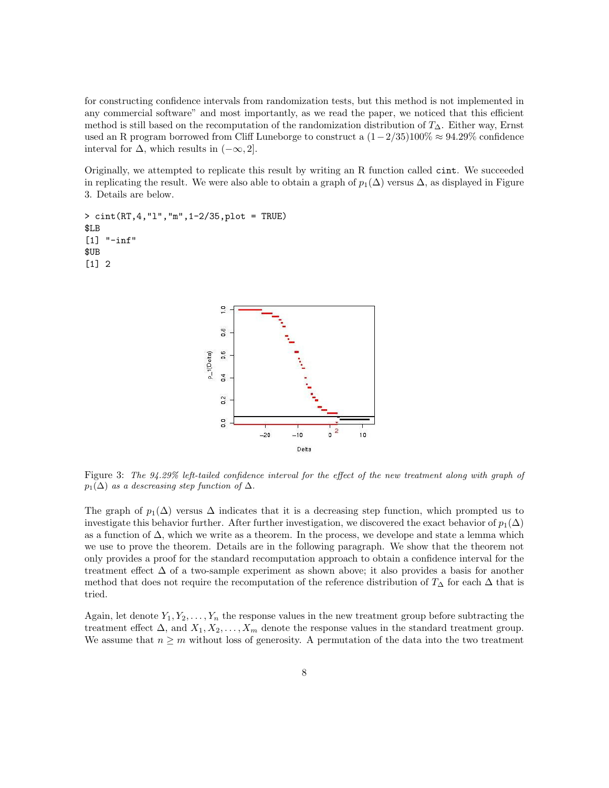for constructing confidence intervals from randomization tests, but this method is not implemented in any commercial software" and most importantly, as we read the paper, we noticed that this efficient method is still based on the recomputation of the randomization distribution of  $T_{\Delta}$ . Either way, Ernst used an R program borrowed from Cliff Luneborge to construct a  $(1-2/35)100\% \approx 94.29\%$  confidence interval for  $\Delta$ , which results in  $(-\infty, 2]$ .

Originally, we attempted to replicate this result by writing an R function called cint. We succeeded in replicating the result. We were also able to obtain a graph of  $p_1(\Delta)$  versus  $\Delta$ , as displayed in Figure 3. Details are below.

> cint(RT,4,"l","m",1-2/35,plot = TRUE) \$LB [1] "-inf" \$UB [1] 2



Figure 3: The 94.29% left-tailed confidence interval for the effect of the new treatment along with graph of  $p_1(\Delta)$  as a descreasing step function of  $\Delta$ .

The graph of  $p_1(\Delta)$  versus  $\Delta$  indicates that it is a decreasing step function, which prompted us to investigate this behavior further. After further investigation, we discovered the exact behavior of  $p_1(\Delta)$ as a function of  $\Delta$ , which we write as a theorem. In the process, we develope and state a lemma which we use to prove the theorem. Details are in the following paragraph. We show that the theorem not only provides a proof for the standard recomputation approach to obtain a confidence interval for the treatment effect ∆ of a two-sample experiment as shown above; it also provides a basis for another method that does not require the recomputation of the reference distribution of  $T_{\Delta}$  for each  $\Delta$  that is tried.

Again, let denote  $Y_1, Y_2, \ldots, Y_n$  the response values in the new treatment group before subtracting the treatment effect  $\Delta$ , and  $X_1, X_2, \ldots, X_m$  denote the response values in the standard treatment group. We assume that  $n \geq m$  without loss of generosity. A permutation of the data into the two treatment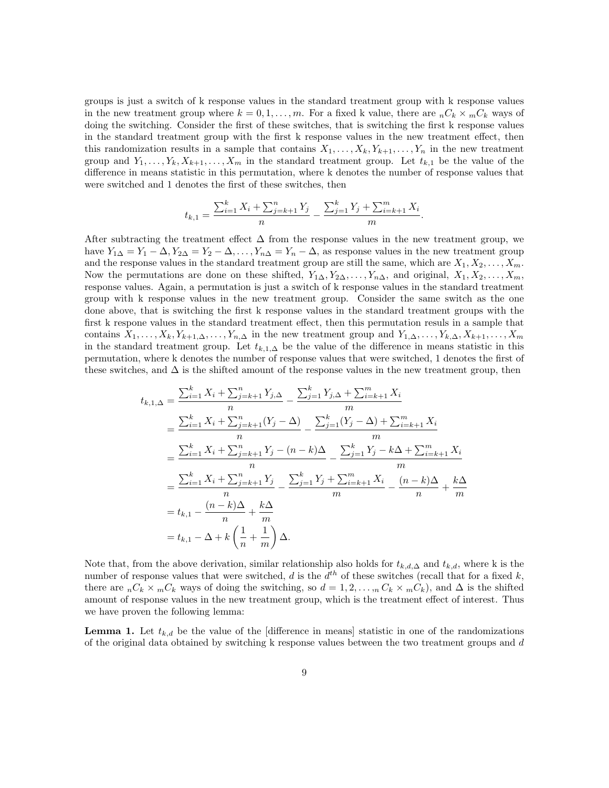groups is just a switch of k response values in the standard treatment group with k response values in the new treatment group where  $k = 0, 1, \ldots, m$ . For a fixed k value, there are  ${}_{n}C_{k} \times {}_{m}C_{k}$  ways of doing the switching. Consider the first of these switches, that is switching the first k response values in the standard treatment group with the first k response values in the new treatment effect, then this randomization results in a sample that contains  $X_1, \ldots, X_k, Y_{k+1}, \ldots, Y_n$  in the new treatment group and  $Y_1, \ldots, Y_k, X_{k+1}, \ldots, X_m$  in the standard treatment group. Let  $t_{k,1}$  be the value of the difference in means statistic in this permutation, where k denotes the number of response values that were switched and 1 denotes the first of these switches, then

$$
t_{k,1} = \frac{\sum_{i=1}^{k} X_i + \sum_{j=k+1}^{n} Y_j}{n} - \frac{\sum_{j=1}^{k} Y_j + \sum_{i=k+1}^{m} X_i}{m}.
$$

After subtracting the treatment effect  $\Delta$  from the response values in the new treatment group, we have  $Y_{1\Delta} = Y_1 - \Delta, Y_{2\Delta} = Y_2 - \Delta, \ldots, Y_{n\Delta} = Y_n - \Delta$ , as response values in the new treatment group and the response values in the standard treatment group are still the same, which are  $X_1, X_2, \ldots, X_m$ . Now the permutations are done on these shifted,  $Y_{1\Delta}, Y_{2\Delta}, \ldots, Y_{n\Delta}$ , and original,  $X_1, X_2, \ldots, X_m$ , response values. Again, a permutation is just a switch of k response values in the standard treatment group with k response values in the new treatment group. Consider the same switch as the one done above, that is switching the first k response values in the standard treatment groups with the first k respone values in the standard treatment effect, then this permutation resuls in a sample that contains  $X_1, \ldots, X_k, Y_{k+1,\Delta}, \ldots, Y_{n,\Delta}$  in the new treatment group and  $Y_{1,\Delta}, \ldots, Y_{k,\Delta}, X_{k+1}, \ldots, X_m$ in the standard treatment group. Let  $t_{k,1,\Delta}$  be the value of the difference in means statistic in this permutation, where k denotes the number of response values that were switched, 1 denotes the first of these switches, and  $\Delta$  is the shifted amount of the response values in the new treatment group, then

$$
t_{k,1,\Delta} = \frac{\sum_{i=1}^{k} X_i + \sum_{j=k+1}^{n} Y_{j,\Delta}}{n} - \frac{\sum_{j=1}^{k} Y_{j,\Delta} + \sum_{i=k+1}^{m} X_i}{m}
$$
  
\n
$$
= \frac{\sum_{i=1}^{k} X_i + \sum_{j=k+1}^{n} (Y_j - \Delta)}{n} - \frac{\sum_{j=1}^{k} (Y_j - \Delta) + \sum_{i=k+1}^{m} X_i}{m}
$$
  
\n
$$
= \frac{\sum_{i=1}^{k} X_i + \sum_{j=k+1}^{n} Y_j - (n - k)\Delta}{n} - \frac{\sum_{j=1}^{k} Y_j - k\Delta + \sum_{i=k+1}^{m} X_i}{m}
$$
  
\n
$$
= \frac{\sum_{i=1}^{k} X_i + \sum_{j=k+1}^{n} Y_j}{n} - \frac{\sum_{j=1}^{k} Y_j + \sum_{i=k+1}^{m} X_i}{m} - \frac{(n - k)\Delta}{n} + \frac{k\Delta}{m}
$$
  
\n
$$
= t_{k,1} - \frac{(n - k)\Delta}{n} + \frac{k\Delta}{m}
$$
  
\n
$$
= t_{k,1} - \Delta + k \left(\frac{1}{n} + \frac{1}{m}\right) \Delta.
$$

Note that, from the above derivation, similar relationship also holds for  $t_{k,d,\Delta}$  and  $t_{k,d}$ , where k is the number of response values that were switched, d is the  $d^{th}$  of these switches (recall that for a fixed k, there are  $nC_k \times mC_k$  ways of doing the switching, so  $d = 1, 2, \ldots, nC_k \times mC_k$ , and  $\Delta$  is the shifted amount of response values in the new treatment group, which is the treatment effect of interest. Thus we have proven the following lemma:

**Lemma 1.** Let  $t_{k,d}$  be the value of the [difference in means] statistic in one of the randomizations of the original data obtained by switching k response values between the two treatment groups and d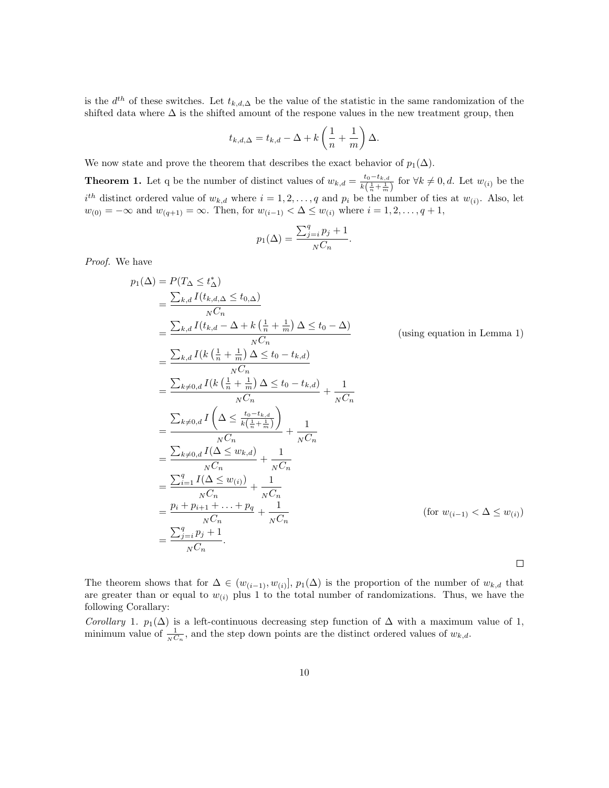is the  $d^{th}$  of these switches. Let  $t_{k,d,\Delta}$  be the value of the statistic in the same randomization of the shifted data where  $\Delta$  is the shifted amount of the respone values in the new treatment group, then

$$
t_{k,d,\Delta} = t_{k,d} - \Delta + k\left(\frac{1}{n} + \frac{1}{m}\right)\Delta.
$$

We now state and prove the theorem that describes the exact behavior of  $p_1(\Delta)$ .

**Theorem 1.** Let q be the number of distinct values of  $w_{k,d} = \frac{t_0 - t_{k,d}}{k(1 - 1)}$  $\frac{t_0 - t_{k,d}}{k(\frac{1}{n} + \frac{1}{m})}$  for  $\forall k \neq 0, d$ . Let  $w_{(i)}$  be the  $i^{th}$  distinct ordered value of  $w_{k,d}$  where  $i = 1, 2, ..., q$  and  $p_i$  be the number of ties at  $w_{(i)}$ . Also, let  $w_{(0)} = -\infty$  and  $w_{(q+1)} = \infty$ . Then, for  $w_{(i-1)} < \Delta \leq w_{(i)}$  where  $i = 1, 2, ..., q + 1$ ,

$$
p_1(\Delta) = \frac{\sum_{j=i}^q p_j + 1}{N C_n}.
$$

Proof. We have

$$
p_1(\Delta) = P(T_{\Delta} \le t_{\Delta}^*)
$$
  
\n
$$
= \frac{\sum_{k,d} I(t_{k,d,\Delta} \le t_{0,\Delta})}{N C_n}
$$
  
\n
$$
= \frac{\sum_{k,d} I(t_{k,d} - \Delta + k(\frac{1}{n} + \frac{1}{m}) \Delta \le t_0 - \Delta)}{N C_n}
$$
 (using equation in Lemma 1)  
\n
$$
= \frac{\sum_{k,d} I(k(\frac{1}{n} + \frac{1}{m}) \Delta \le t_0 - t_{k,d})}{N C_n}
$$
  
\n
$$
= \frac{\sum_{k \neq 0,d} I(k(\frac{1}{n} + \frac{1}{m}) \Delta \le t_0 - t_{k,d})}{N C_n} + \frac{1}{N C_n}
$$
  
\n
$$
= \frac{\sum_{k \neq 0,d} I(\Delta \le \frac{t_0 - t_{k,d}}{k(\frac{1}{n} + \frac{1}{m})})}{N C_n} + \frac{1}{N C_n}
$$
  
\n
$$
= \frac{\sum_{k \neq 0,d} I(\Delta \le w_{k,d})}{N C_n} + \frac{1}{N C_n}
$$
  
\n
$$
= \frac{\sum_{i=1}^q I(\Delta \le w_{(i)})}{N C_n} + \frac{1}{N C_n}
$$
  
\n
$$
= \frac{p_i + p_{i+1} + \ldots + p_q}{N C_n} + \frac{1}{N C_n}
$$
  
\n
$$
= \frac{\sum_{j=i}^q p_j + 1}{N C_n}.
$$
 (for  $w_{(i-1)} < \Delta \le w_{(i)}$ )

The theorem shows that for  $\Delta \in (w_{(i-1)}, w_{(i)}], p_1(\Delta)$  is the proportion of the number of  $w_{k,d}$  that are greater than or equal to  $w_{(i)}$  plus 1 to the total number of randomizations. Thus, we have the following Corallary:

Corollary 1.  $p_1(\Delta)$  is a left-continuous decreasing step function of  $\Delta$  with a maximum value of 1, minimum value of  $\frac{1}{N C_n}$ , and the step down points are the distinct ordered values of  $w_{k,d}$ .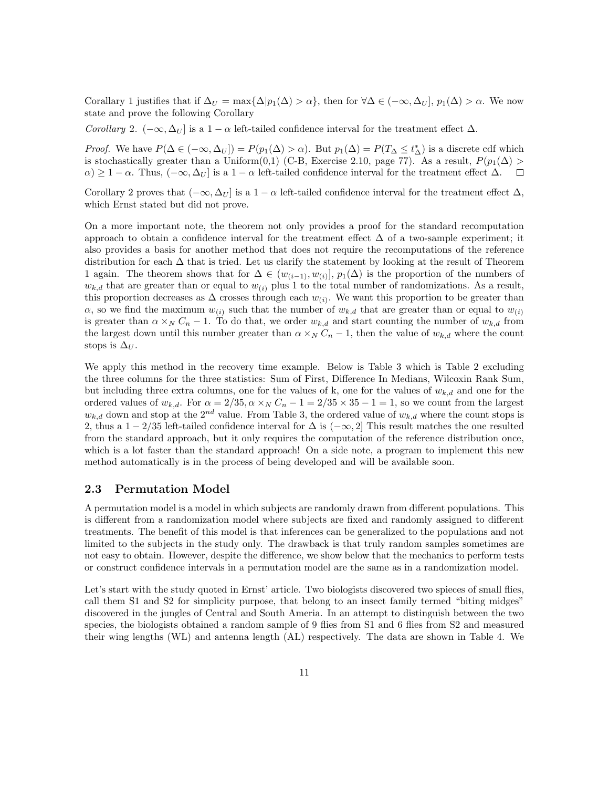Corallary 1 justifies that if  $\Delta_U = \max\{\Delta|p_1(\Delta) > \alpha\}$ , then for  $\forall \Delta \in (-\infty, \Delta_U], p_1(\Delta) > \alpha$ . We now state and prove the following Corollary

Corollary 2.  $(-\infty, \Delta_U]$  is a 1 –  $\alpha$  left-tailed confidence interval for the treatment effect  $\Delta$ .

*Proof.* We have  $P(\Delta \in (-\infty, \Delta_U]) = P(p_1(\Delta) > \alpha)$ . But  $p_1(\Delta) = P(T_{\Delta} \leq t_{\Delta}^*)$  is a discrete cdf which is stochastically greater than a Uniform(0,1) (C-B, Exercise 2.10, page 77). As a result,  $P(p_1(\Delta))$  $\alpha$ ) ≥ 1 –  $\alpha$ . Thus,  $(-\infty, \Delta_U]$  is a 1 –  $\alpha$  left-tailed confidence interval for the treatment effect  $\Delta$ .  $\Box$ 

Corollary 2 proves that  $(-\infty, \Delta_U]$  is a 1 –  $\alpha$  left-tailed confidence interval for the treatment effect  $\Delta$ , which Ernst stated but did not prove.

On a more important note, the theorem not only provides a proof for the standard recomputation approach to obtain a confidence interval for the treatment effect  $\Delta$  of a two-sample experiment; it also provides a basis for another method that does not require the recomputations of the reference distribution for each  $\Delta$  that is tried. Let us clarify the statement by looking at the result of Theorem 1 again. The theorem shows that for  $\Delta \in (w_{(i-1)}, w_{(i)}], p_1(\Delta)$  is the proportion of the numbers of  $w_{k,d}$  that are greater than or equal to  $w_{(i)}$  plus 1 to the total number of randomizations. As a result, this proportion decreases as  $\Delta$  crosses through each  $w_{(i)}$ . We want this proportion to be greater than  $\alpha$ , so we find the maximum  $w_{(i)}$  such that the number of  $w_{k,d}$  that are greater than or equal to  $w_{(i)}$ is greater than  $\alpha \times_N C_n - 1$ . To do that, we order  $w_{k,d}$  and start counting the number of  $w_{k,d}$  from the largest down until this number greater than  $\alpha \times_N C_n - 1$ , then the value of  $w_{k,d}$  where the count stops is  $\Delta_U$ .

We apply this method in the recovery time example. Below is Table 3 which is Table 2 excluding the three columns for the three statistics: Sum of First, Difference In Medians, Wilcoxin Rank Sum, but including three extra columns, one for the values of k, one for the values of  $w_{k,d}$  and one for the ordered values of  $w_{k,d}$ . For  $\alpha = 2/35$ ,  $\alpha \times_N C_n - 1 = 2/35 \times 35 - 1 = 1$ , so we count from the largest  $w_{k,d}$  down and stop at the  $2^{nd}$  value. From Table 3, the ordered value of  $w_{k,d}$  where the count stops is 2, thus a  $1-2/35$  left-tailed confidence interval for  $\Delta$  is  $(-\infty, 2]$  This result matches the one resulted from the standard approach, but it only requires the computation of the reference distribution once, which is a lot faster than the standard approach! On a side note, a program to implement this new method automatically is in the process of being developed and will be available soon.

#### 2.3 Permutation Model

A permutation model is a model in which subjects are randomly drawn from different populations. This is different from a randomization model where subjects are fixed and randomly assigned to different treatments. The benefit of this model is that inferences can be generalized to the populations and not limited to the subjects in the study only. The drawback is that truly random samples sometimes are not easy to obtain. However, despite the difference, we show below that the mechanics to perform tests or construct confidence intervals in a permutation model are the same as in a randomization model.

Let's start with the study quoted in Ernst' article. Two biologists discovered two spieces of small flies, call them S1 and S2 for simplicity purpose, that belong to an insect family termed "biting midges" discovered in the jungles of Central and South Ameria. In an attempt to distinguish between the two species, the biologists obtained a random sample of 9 flies from S1 and 6 flies from S2 and measured their wing lengths (WL) and antenna length (AL) respectively. The data are shown in Table 4. We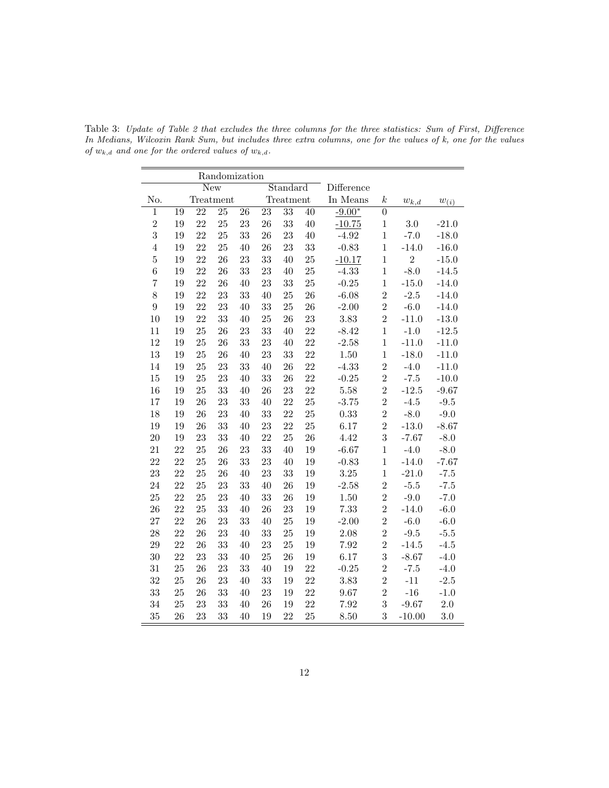|                  | Randomization |                 |                 |    |                 |                 |            |            |                  |                |                       |
|------------------|---------------|-----------------|-----------------|----|-----------------|-----------------|------------|------------|------------------|----------------|-----------------------|
|                  | New           |                 |                 |    |                 | Standard        |            | Difference |                  |                |                       |
| No.              |               |                 | Treatment       |    |                 | Treatment       |            | In Means   | $\boldsymbol{k}$ | $w_{k,d}$      | $w_{(\underline{i})}$ |
| 1                | 19            | $\overline{22}$ | $\overline{25}$ | 26 | $\overline{23}$ | $\overline{33}$ | $40\,$     | $-9.00*$   | $\boldsymbol{0}$ |                |                       |
| $\overline{2}$   | 19            | 22              | 25              | 23 | 26              | 33              | 40         | $-10.75$   | $\,1$            | 3.0            | $-21.0$               |
| 3                | 19            | 22              | 25              | 33 | 26              | 23              | 40         | $-4.92$    | $\overline{1}$   | $-7.0$         | $-18.0$               |
| $\overline{4}$   | 19            | 22              | 25              | 40 | $26\,$          | $23\,$          | $33\,$     | $-0.83$    | $\mathbf{1}$     | $-14.0$        | $-16.0$               |
| $\overline{5}$   | 19            | 22              | 26              | 23 | 33              | $40\,$          | 25         | $-10.17$   | $\mathbf{1}$     | $\overline{2}$ | $-15.0$               |
| $\,6$            | 19            | 22              | 26              | 33 | 23              | 40              | $25\,$     | $-4.33$    | $\overline{1}$   | $-8.0$         | $-14.5$               |
| $\overline{7}$   | 19            | 22              | 26              | 40 | 23              | $33\,$          | $25\,$     | $-0.25$    | $\mathbf{1}$     | $-15.0$        | $-14.0$               |
| 8                | 19            | 22              | 23              | 33 | 40              | $25\,$          | ${\bf 26}$ | $-6.08$    | $\overline{2}$   | $-2.5$         | $-14.0$               |
| $\boldsymbol{9}$ | 19            | 22              | 23              | 40 | 33              | $25\,$          | ${\bf 26}$ | $-2.00$    | $\overline{2}$   | $-6.0$         | $-14.0$               |
| 10               | 19            | 22              | 33              | 40 | 25              | $26\,$          | $23\,$     | $3.83\,$   | $\overline{2}$   | $-11.0$        | $-13.0$               |
| 11               | 19            | $25\,$          | 26              | 23 | 33              | 40              | 22         | $-8.42$    | $\mathbf{1}$     | $-1.0$         | $-12.5$               |
| 12               | 19            | 25              | 26              | 33 | 23              | 40              | 22         | $-2.58$    | $\mathbf{1}$     | $-11.0$        | $-11.0$               |
| $13\,$           | 19            | $25\,$          | 26              | 40 | 23              | $33\,$          | $22\,$     | 1.50       | $\mathbf{1}$     | $-18.0$        | $-11.0$               |
| 14               | 19            | 25              | 23              | 33 | 40              | $26\,$          | 22         | $-4.33$    | $\overline{2}$   | $-4.0$         | $-11.0$               |
| $15\,$           | 19            | $25\,$          | 23              | 40 | 33              | $26\,$          | 22         | $-0.25$    | $\overline{2}$   | $-7.5$         | $-10.0$               |
| 16               | 19            | 25              | 33              | 40 | 26              | 23              | 22         | $5.58\,$   | $\overline{2}$   | $-12.5$        | $-9.67$               |
| 17               | 19            | 26              | 23              | 33 | 40              | 22              | 25         | $-3.75$    | $\overline{2}$   | $-4.5$         | $-9.5$                |
| 18               | 19            | 26              | 23              | 40 | 33              | 22              | 25         | 0.33       | $\overline{2}$   | $-8.0$         | $-9.0$                |
| 19               | 19            | 26              | 33              | 40 | 23              | 22              | 25         | 6.17       | $\overline{2}$   | $-13.0$        | $-8.67$               |
| $20\,$           | 19            | 23              | 33              | 40 | 22              | 25              | ${\bf 26}$ | 4.42       | $\boldsymbol{3}$ | $-7.67$        | $-8.0$                |
| 21               | 22            | 25              | 26              | 23 | 33              | $40\,$          | 19         | $-6.67$    | $\mathbf{1}$     | $-4.0$         | $-8.0$                |
| 22               | 22            | 25              | 26              | 33 | 23              | 40              | 19         | $-0.83$    | $\mathbf{1}$     | $-14.0$        | $-7.67$               |
| $\bf 23$         | 22            | 25              | 26              | 40 | 23              | $33\,$          | 19         | $3.25\,$   | $\mathbf{1}$     | $-21.0$        | $-7.5$                |
| 24               | 22            | 25              | 23              | 33 | 40              | $26\,$          | 19         | $-2.58$    | $\overline{2}$   | $-5.5$         | $-7.5$                |
| 25               | 22            | 25              | 23              | 40 | 33              | 26              | 19         | 1.50       | $\overline{2}$   | $-9.0$         | $-7.0$                |
| ${\bf 26}$       | 22            | 25              | 33              | 40 | 26              | $23\,$          | 19         | 7.33       | $\overline{2}$   | $-14.0$        | $-6.0$                |
| 27               | 22            | 26              | 23              | 33 | 40              | $25\,$          | 19         | $-2.00$    | $\overline{2}$   | $-6.0$         | $-6.0$                |
| 28               | 22            | 26              | 23              | 40 | 33              | $25\,$          | 19         | 2.08       | $\overline{2}$   | $-9.5$         | $-5.5$                |
| $\,29$           | 22            | 26              | 33              | 40 | 23              | $25\,$          | 19         | 7.92       | $\overline{2}$   | $-14.5$        | $-4.5$                |
| $30\,$           | 22            | 23              | 33              | 40 | 25              | $26\,$          | 19         | 6.17       | 3                | $-8.67$        | $-4.0$                |
| 31               | 25            | 26              | 23              | 33 | 40              | 19              | 22         | $-0.25$    | $\overline{2}$   | $-7.5$         | $-4.0$                |
| 32               | 25            | 26              | 23              | 40 | 33              | $19\,$          | 22         | $3.83\,$   | $\overline{2}$   | $-11$          | $-2.5$                |
| $33\,$           | 25            | 26              | 33              | 40 | $23\,$          | 19              | 22         | $9.67\,$   | $\overline{2}$   | $-16$          | $-1.0$                |
| 34               | 25            | 23              | 33              | 40 | $26\,$          | 19              | 22         | 7.92       | 3                | $-9.67$        | 2.0                   |
| 35               | 26            | 23              | 33              | 40 | 19              | 22              | 25         | 8.50       | 3                | $-10.00$       | $3.0\,$               |

Table 3: Update of Table 2 that excludes the three columns for the three statistics: Sum of First, Difference In Medians, Wilcoxin Rank Sum, but includes three extra columns, one for the values of k, one for the values of  $w_{k,d}$  and one for the ordered values of  $w_{k,d}$ .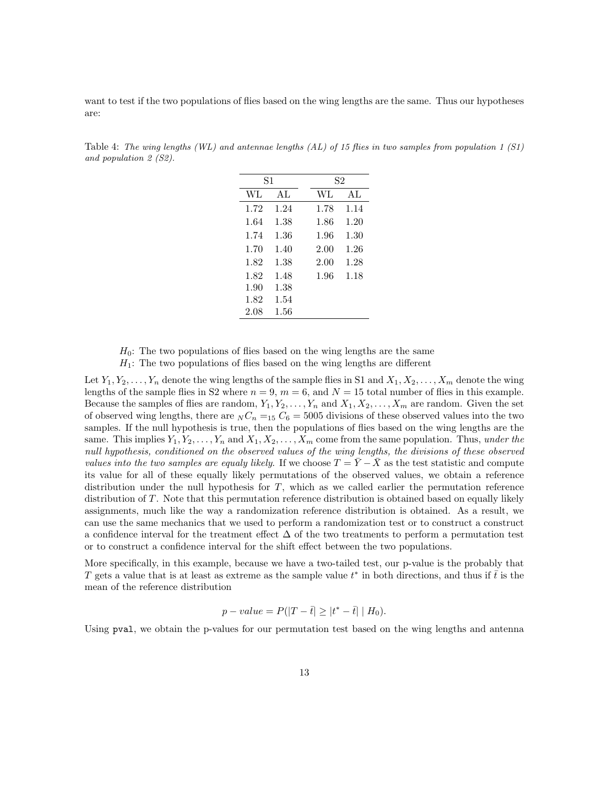want to test if the two populations of flies based on the wing lengths are the same. Thus our hypotheses are:

| S1   |      | S2 |      |      |  |
|------|------|----|------|------|--|
| WL   | AL   |    | WL   | AL   |  |
| 1.72 | 1.24 |    | 1.78 | 1.14 |  |
| 1.64 | 1.38 |    | 1.86 | 1.20 |  |
| 1.74 | 1.36 |    | 1.96 | 1.30 |  |
| 1.70 | 1.40 |    | 2.00 | 1.26 |  |
| 1.82 | 1.38 |    | 2.00 | 1.28 |  |
| 1.82 | 1.48 |    | 1.96 | 1.18 |  |
| 1.90 | 1.38 |    |      |      |  |
| 1.82 | 1.54 |    |      |      |  |
| 2.08 | 1.56 |    |      |      |  |

Table 4: The wing lengths (WL) and antennae lengths  $(AL)$  of 15 flies in two samples from population 1 (S1) and population 2 (S2).

 $H_0$ : The two populations of flies based on the wing lengths are the same  $H_1$ : The two populations of flies based on the wing lengths are different

Let  $Y_1, Y_2, \ldots, Y_n$  denote the wing lengths of the sample flies in S1 and  $X_1, X_2, \ldots, X_m$  denote the wing lengths of the sample flies in S2 where  $n = 9$ ,  $m = 6$ , and  $N = 15$  total number of flies in this example. Because the samples of flies are random,  $Y_1, Y_2, \ldots, Y_n$  and  $X_1, X_2, \ldots, X_m$  are random. Given the set of observed wing lengths, there are  $_N C_n =_{15} C_6 = 5005$  divisions of these observed values into the two samples. If the null hypothesis is true, then the populations of flies based on the wing lengths are the same. This implies  $Y_1, Y_2, \ldots, Y_n$  and  $X_1, X_2, \ldots, X_m$  come from the same population. Thus, under the null hypothesis, conditioned on the observed values of the wing lengths, the divisions of these observed values into the two samples are equaly likely. If we choose  $T = \overline{Y} - \overline{X}$  as the test statistic and compute its value for all of these equally likely permutations of the observed values, we obtain a reference distribution under the null hypothesis for T, which as we called earlier the permutation reference distribution of T. Note that this permutation reference distribution is obtained based on equally likely assignments, much like the way a randomization reference distribution is obtained. As a result, we can use the same mechanics that we used to perform a randomization test or to construct a construct a confidence interval for the treatment effect  $\Delta$  of the two treatments to perform a permutation test or to construct a confidence interval for the shift effect between the two populations.

More specifically, in this example, because we have a two-tailed test, our p-value is the probably that T gets a value that is at least as extreme as the sample value  $t^*$  in both directions, and thus if  $\bar{t}$  is the mean of the reference distribution

$$
p-value = P(|T - \bar{t}| \ge |t^* - \bar{t}| | H_0).
$$

Using pval, we obtain the p-values for our permutation test based on the wing lengths and antenna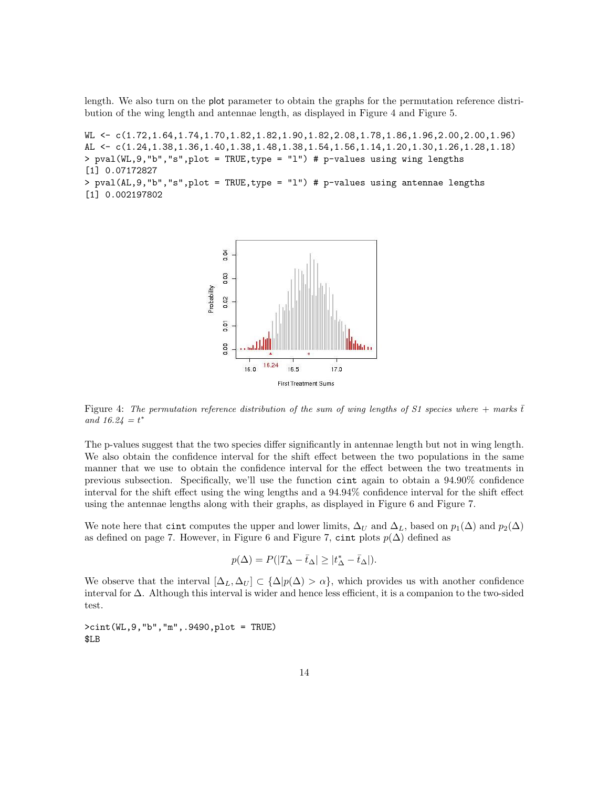length. We also turn on the plot parameter to obtain the graphs for the permutation reference distribution of the wing length and antennae length, as displayed in Figure 4 and Figure 5.

WL <- c(1.72,1.64,1.74,1.70,1.82,1.82,1.90,1.82,2.08,1.78,1.86,1.96,2.00,2.00,1.96) AL <- c(1.24,1.38,1.36,1.40,1.38,1.48,1.38,1.54,1.56,1.14,1.20,1.30,1.26,1.28,1.18) > pval(WL,9,"b","s",plot = TRUE,type = "l") # p-values using wing lengths [1] 0.07172827 > pval(AL,9,"b","s",plot = TRUE,type = "l") # p-values using antennae lengths [1] 0.002197802



Figure 4: The permutation reference distribution of the sum of wing lengths of S1 species where  $+$  marks  $\bar{t}$ and  $16.24 = t^*$ 

The p-values suggest that the two species differ significantly in antennae length but not in wing length. We also obtain the confidence interval for the shift effect between the two populations in the same manner that we use to obtain the confidence interval for the effect between the two treatments in previous subsection. Specifically, we'll use the function cint again to obtain a 94.90% confidence interval for the shift effect using the wing lengths and a 94.94% confidence interval for the shift effect using the antennae lengths along with their graphs, as displayed in Figure 6 and Figure 7.

We note here that cint computes the upper and lower limits,  $\Delta_U$  and  $\Delta_L$ , based on  $p_1(\Delta)$  and  $p_2(\Delta)$ as defined on page 7. However, in Figure 6 and Figure 7, cint plots  $p(\Delta)$  defined as

$$
p(\Delta) = P(|T_{\Delta} - \bar{t}_{\Delta}| \geq |t_{\Delta}^* - \bar{t}_{\Delta}|).
$$

We observe that the interval  $[\Delta_L, \Delta_U] \subset {\Delta |p(\Delta) > \alpha}$ , which provides us with another confidence interval for ∆. Although this interval is wider and hence less efficient, it is a companion to the two-sided test.

>cint(WL,9,"b","m",.9490,plot = TRUE) \$LB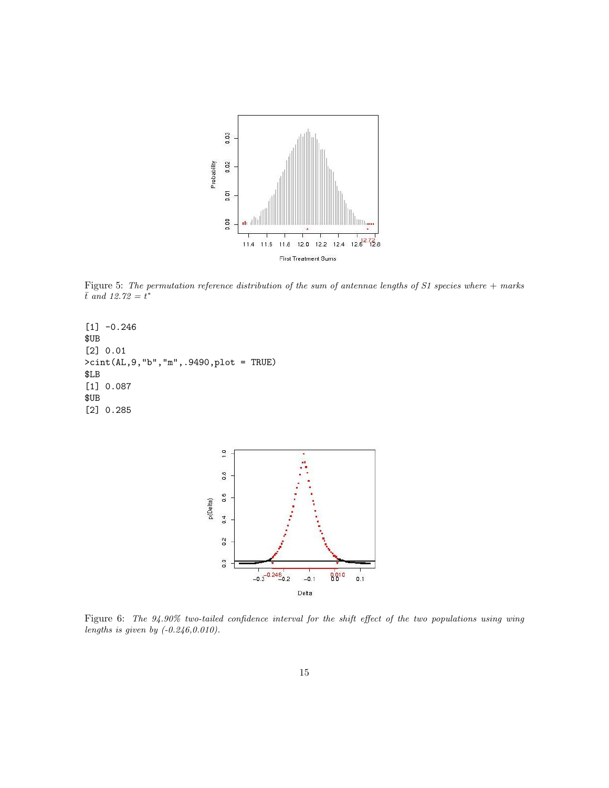

Figure 5: The permutation reference distribution of the sum of antennae lengths of S1 species where + marks  $\bar{t}$  and 12.72 =  $t^*$ 

```
[1] -0.246
$UB
[2] 0.01
>cint(AL,9,"b","m",.9490,plot = TRUE)
$LB
[1] 0.087
$UB
[2] 0.285
```


Figure 6: The 94.90% two-tailed confidence interval for the shift effect of the two populations using wing lengths is given by  $(-0.246, 0.010)$ .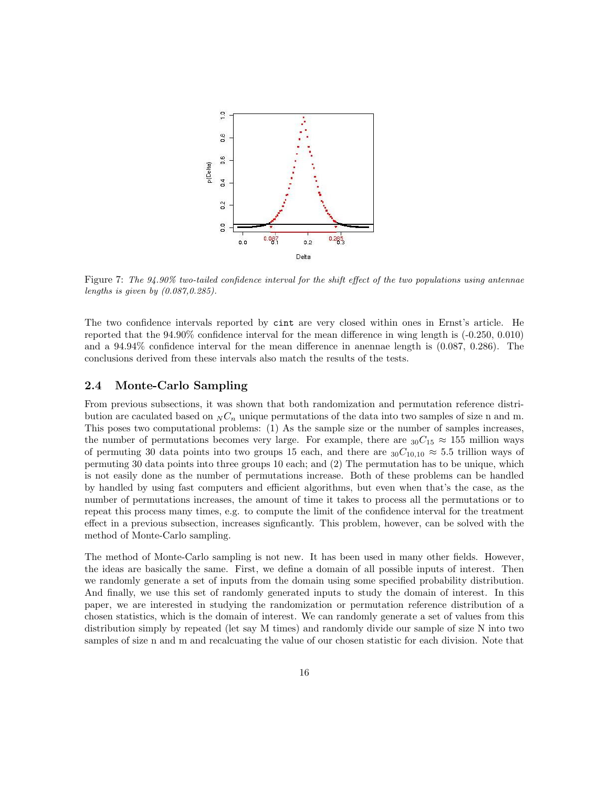

Figure 7: The 94.90% two-tailed confidence interval for the shift effect of the two populations using antennae lengths is given by (0.087,0.285).

The two confidence intervals reported by cint are very closed within ones in Ernst's article. He reported that the 94.90% confidence interval for the mean difference in wing length is (-0.250, 0.010) and a 94.94% confidence interval for the mean difference in anennae length is (0.087, 0.286). The conclusions derived from these intervals also match the results of the tests.

## 2.4 Monte-Carlo Sampling

From previous subsections, it was shown that both randomization and permutation reference distribution are caculated based on  $_N C_n$  unique permutations of the data into two samples of size n and m. This poses two computational problems: (1) As the sample size or the number of samples increases, the number of permutations becomes very large. For example, there are  $_{30}C_{15} \approx 155$  million ways of permuting 30 data points into two groups 15 each, and there are  $_{30}C_{10,10} \approx 5.5$  trillion ways of permuting 30 data points into three groups 10 each; and (2) The permutation has to be unique, which is not easily done as the number of permutations increase. Both of these problems can be handled by handled by using fast computers and efficient algorithms, but even when that's the case, as the number of permutations increases, the amount of time it takes to process all the permutations or to repeat this process many times, e.g. to compute the limit of the confidence interval for the treatment effect in a previous subsection, increases signficantly. This problem, however, can be solved with the method of Monte-Carlo sampling.

The method of Monte-Carlo sampling is not new. It has been used in many other fields. However, the ideas are basically the same. First, we define a domain of all possible inputs of interest. Then we randomly generate a set of inputs from the domain using some specified probability distribution. And finally, we use this set of randomly generated inputs to study the domain of interest. In this paper, we are interested in studying the randomization or permutation reference distribution of a chosen statistics, which is the domain of interest. We can randomly generate a set of values from this distribution simply by repeated (let say M times) and randomly divide our sample of size N into two samples of size n and m and recalcuating the value of our chosen statistic for each division. Note that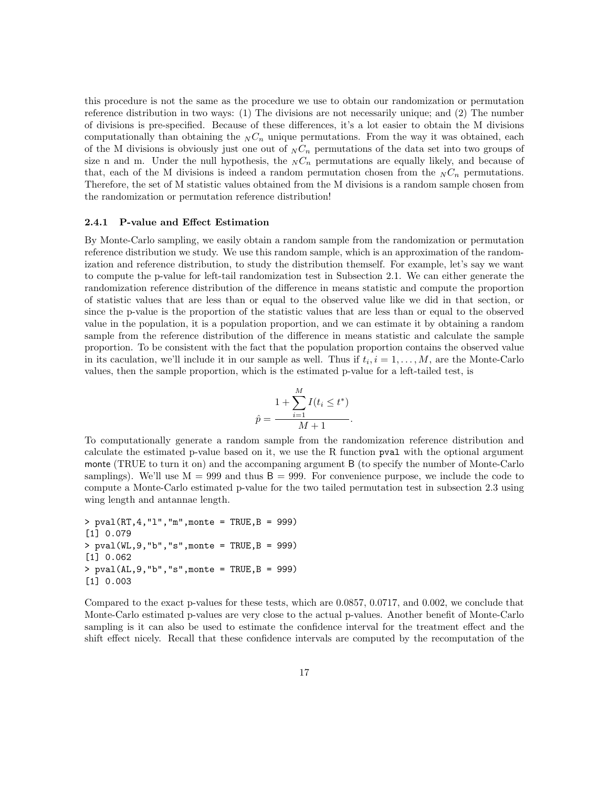this procedure is not the same as the procedure we use to obtain our randomization or permutation reference distribution in two ways: (1) The divisions are not necessarily unique; and (2) The number of divisions is pre-specified. Because of these differences, it's a lot easier to obtain the M divisions computationally than obtaining the  $N C_n$  unique permutations. From the way it was obtained, each of the M divisions is obviously just one out of  $_N C_n$  permutations of the data set into two groups of size n and m. Under the null hypothesis, the  $N C_n$  permutations are equally likely, and because of that, each of the M divisions is indeed a random permutation chosen from the  $N C_n$  permutations. Therefore, the set of M statistic values obtained from the M divisions is a random sample chosen from the randomization or permutation reference distribution!

#### 2.4.1 P-value and Effect Estimation

By Monte-Carlo sampling, we easily obtain a random sample from the randomization or permutation reference distribution we study. We use this random sample, which is an approximation of the randomization and reference distribution, to study the distribution themself. For example, let's say we want to compute the p-value for left-tail randomization test in Subsection 2.1. We can either generate the randomization reference distribution of the difference in means statistic and compute the proportion of statistic values that are less than or equal to the observed value like we did in that section, or since the p-value is the proportion of the statistic values that are less than or equal to the observed value in the population, it is a population proportion, and we can estimate it by obtaining a random sample from the reference distribution of the difference in means statistic and calculate the sample proportion. To be consistent with the fact that the population proportion contains the observed value in its caculation, we'll include it in our sample as well. Thus if  $t_i$ ,  $i = 1, \ldots, M$ , are the Monte-Carlo values, then the sample proportion, which is the estimated p-value for a left-tailed test, is

$$
\hat{p} = \frac{1 + \sum_{i=1}^{M} I(t_i \le t^*)}{M + 1}.
$$

To computationally generate a random sample from the randomization reference distribution and calculate the estimated p-value based on it, we use the R function pval with the optional argument monte (TRUE to turn it on) and the accompaning argument B (to specify the number of Monte-Carlo samplings). We'll use  $M = 999$  and thus  $B = 999$ . For convenience purpose, we include the code to compute a Monte-Carlo estimated p-value for the two tailed permutation test in subsection 2.3 using wing length and antannae length.

```
> pval(RT, 4, "1", "m", monte = TRUE, B = 999)
[1] 0.079
> pval(WL,9,"b","s",monte = TRUE,B = 999)
[1] 0.062
> pval(AL,9,"b","s",monte = TRUE,B = 999)
[1] 0.003
```
Compared to the exact p-values for these tests, which are 0.0857, 0.0717, and 0.002, we conclude that Monte-Carlo estimated p-values are very close to the actual p-values. Another benefit of Monte-Carlo sampling is it can also be used to estimate the confidence interval for the treatment effect and the shift effect nicely. Recall that these confidence intervals are computed by the recomputation of the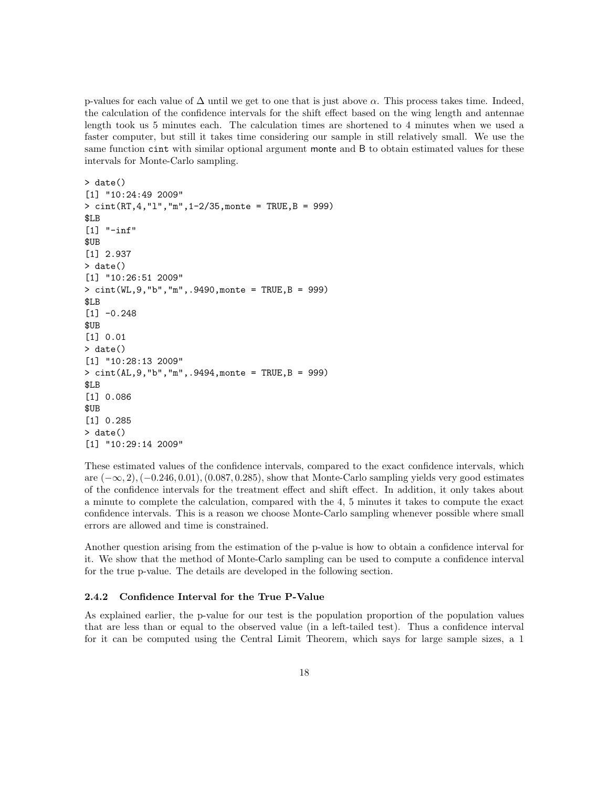p-values for each value of  $\Delta$  until we get to one that is just above  $\alpha$ . This process takes time. Indeed, the calculation of the confidence intervals for the shift effect based on the wing length and antennae length took us 5 minutes each. The calculation times are shortened to 4 minutes when we used a faster computer, but still it takes time considering our sample in still relatively small. We use the same function cint with similar optional argument monte and B to obtain estimated values for these intervals for Monte-Carlo sampling.

```
> date()
[1] "10:24:49 2009"
> cint(RT,4,"l","m",1-2/35,monte = TRUE,B = 999)
$LB
[1] "-inf"
$UB
[1] 2.937
> date()
[1] "10:26:51 2009"
> cint(WL,9,"b","m",.9490,monte = TRUE,B = 999)
$LB
[1] -0.248$UB
[1] 0.01
> date()
[1] "10:28:13 2009"
> cint(AL,9,"b","m",.9494,monte = TRUE,B = 999)
$LB
[1] 0.086
$UB
[1] 0.285
> date()
[1] "10:29:14 2009"
```
These estimated values of the confidence intervals, compared to the exact confidence intervals, which are  $(-\infty, 2)$ ,  $(-0.246, 0.01)$ ,  $(0.087, 0.285)$ , show that Monte-Carlo sampling yields very good estimates of the confidence intervals for the treatment effect and shift effect. In addition, it only takes about a minute to complete the calculation, compared with the 4, 5 minutes it takes to compute the exact confidence intervals. This is a reason we choose Monte-Carlo sampling whenever possible where small errors are allowed and time is constrained.

Another question arising from the estimation of the p-value is how to obtain a confidence interval for it. We show that the method of Monte-Carlo sampling can be used to compute a confidence interval for the true p-value. The details are developed in the following section.

#### 2.4.2 Confidence Interval for the True P-Value

As explained earlier, the p-value for our test is the population proportion of the population values that are less than or equal to the observed value (in a left-tailed test). Thus a confidence interval for it can be computed using the Central Limit Theorem, which says for large sample sizes, a 1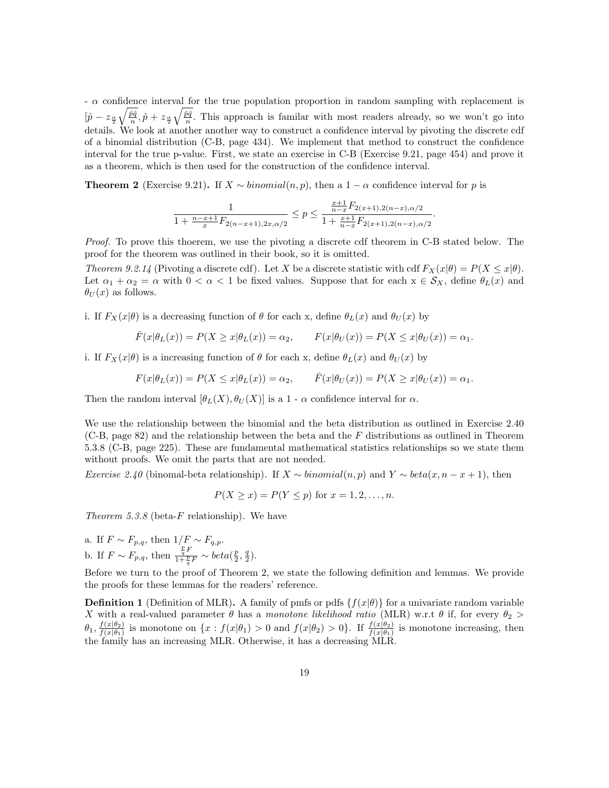$-\alpha$  confidence interval for the true population proportion in random sampling with replacement is  $[\hat{p} - z_{\frac{\alpha}{2}}\sqrt{\frac{\hat{p}\hat{q}}{n}}, \hat{p} + z_{\frac{\alpha}{2}}\sqrt{\frac{\hat{p}\hat{q}}{n}}]$ . This approach is familar with most readers already, so we won't go into details. We look at another another way to construct a confidence interval by pivoting the discrete cdf of a binomial distribution (C-B, page 434). We implement that method to construct the confidence interval for the true p-value. First, we state an exercise in C-B (Exercise 9.21, page 454) and prove it as a theorem, which is then used for the construction of the confidence interval.

**Theorem 2** (Exercise 9.21). If  $X \sim binomial(n, p)$ , then a 1 –  $\alpha$  confidence interval for p is

$$
\frac{1}{1 + \frac{n - x + 1}{x} F_{2(n - x + 1), 2x, \alpha/2}} \le p \le \frac{\frac{x + 1}{n - x} F_{2(x + 1), 2(n - x), \alpha/2}}{1 + \frac{x + 1}{n - x} F_{2(x + 1), 2(n - x), \alpha/2}}.
$$

Proof. To prove this thoerem, we use the pivoting a discrete cdf theorem in C-B stated below. The proof for the theorem was outlined in their book, so it is omitted.

Theorem 9.2.14 (Pivoting a discrete cdf). Let X be a discrete statistic with cdf  $F_X(x|\theta) = P(X \leq x|\theta)$ . Let  $\alpha_1 + \alpha_2 = \alpha$  with  $0 < \alpha < 1$  be fixed values. Suppose that for each  $x \in S_X$ , define  $\theta_L(x)$  and  $\theta_U(x)$  as follows.

i. If  $F_X(x|\theta)$  is a decreasing function of  $\theta$  for each x, define  $\theta_L(x)$  and  $\theta_U(x)$  by

$$
\overline{F}(x|\theta_L(x)) = P(X \ge x|\theta_L(x)) = \alpha_2, \qquad F(x|\theta_U(x)) = P(X \le x|\theta_U(x)) = \alpha_1.
$$

i. If  $F_X(x|\theta)$  is a increasing function of  $\theta$  for each x, define  $\theta_L(x)$  and  $\theta_U(x)$  by

$$
F(x|\theta_L(x)) = P(X \le x|\theta_L(x)) = \alpha_2, \qquad \bar{F}(x|\theta_U(x)) = P(X \ge x|\theta_U(x)) = \alpha_1.
$$

Then the random interval  $[\theta_L(X), \theta_U(X)]$  is a 1 -  $\alpha$  confidence interval for  $\alpha$ .

We use the relationship between the binomial and the beta distribution as outlined in Exercise 2.40  $(C-B, page 82)$  and the relationship between the beta and the F distributions as outlined in Theorem 5.3.8 (C-B, page 225). These are fundamental mathematical statistics relationships so we state them without proofs. We omit the parts that are not needed.

Exercise 2.40 (binomal-beta relationship). If  $X \sim binomial(n, p)$  and  $Y \sim beta(x, n - x + 1)$ , then

$$
P(X \ge x) = P(Y \le p)
$$
 for  $x = 1, 2, ..., n$ .

Theorem 5.3.8 (beta-F relationship). We have

a. If  $F \sim F_{p,q}$ , then  $1/F \sim F_{q,p}$ . b. If  $F \sim F_{p,q}$ , then  $\frac{\frac{p}{q}F}{1+\frac{p}{q}F} \sim beta(\frac{p}{2}, \frac{q}{2})$ .

Before we turn to the proof of Theorem 2, we state the following definition and lemmas. We provide the proofs for these lemmas for the readers' reference.

**Definition 1** (Definition of MLR). A family of pmfs or pdfs  $\{f(x|\theta)\}\$ for a univariate random variable X with a real-valued parameter  $\theta$  has a monotone likelihood ratio (MLR) w.r.t  $\theta$  if, for every  $\theta_2$  $\theta_1, \frac{f(x|\theta_2)}{f(x|\theta_1)}$  $\frac{f(x|\theta_2)}{f(x|\theta_1)}$  is monotone on  $\{x: f(x|\theta_1) > 0 \text{ and } f(x|\theta_2) > 0\}$ . If  $\frac{f(x|\theta_2)}{f(x|\theta_1)}$  is monotone increasing, then the family has an increasing MLR. Otherwise, it has a decreasing MLR.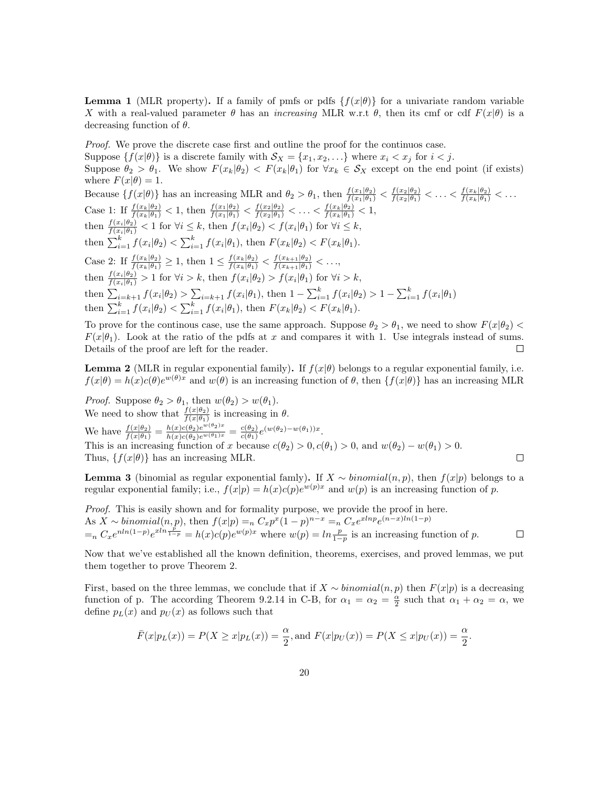**Lemma 1** (MLR property). If a family of pmfs or pdfs  $\{f(x|\theta)\}\$ for a univariate random variable X with a real-valued parameter  $\theta$  has an *increasing* MLR w.r.t  $\theta$ , then its cmf or cdf  $F(x|\theta)$  is a decreasing function of  $\theta$ .

Proof. We prove the discrete case first and outline the proof for the continuos case.

Suppose  $\{f(x|\theta)\}\$ is a discrete family with  $\mathcal{S}_X = \{x_1, x_2, \ldots\}$  where  $x_i < x_j$  for  $i < j$ .

Suppose  $\theta_2 > \theta_1$ . We show  $F(x_k|\theta_2) < F(x_k|\theta_1)$  for  $\forall x_k \in S_X$  except on the end point (if exists) where  $F(x|\theta) = 1$ .

Because  $\{f(x|\theta)\}\$  has an increasing MLR and  $\theta_2 > \theta_1$ , then  $\frac{f(x_1|\theta_2)}{f(x_1|\theta_1)} < \frac{f(x_2|\theta_2)}{f(x_2|\theta_1)} < \ldots < \frac{f(x_k|\theta_2)}{f(x_k|\theta_1)} < \ldots$ Case 1: If  $\frac{f(x_k|\theta_2)}{f(x_k|\theta_1)} < 1$ , then  $\frac{f(x_1|\theta_2)}{f(x_1|\theta_1)} < \frac{f(x_2|\theta_2)}{f(x_2|\theta_1)} < \ldots < \frac{f(x_k|\theta_2)}{f(x_k|\theta_1)} < 1$ , then  $\frac{f(x_i|\theta_2)}{f(x_i|\theta_1)} < 1$  for  $\forall i \leq k$ , then  $f(x_i|\theta_2) < f(x_i|\theta_1)$  for  $\forall i \leq k$ , then  $\sum_{i=1}^{k} f(x_i | \theta_2) < \sum_{i=1}^{k} f(x_i | \theta_1)$ , then  $F(x_k | \theta_2) < F(x_k | \theta_1)$ . Case 2: If  $\frac{f(x_k|\theta_2)}{f(x_k|\theta_1)} \geq 1$ , then  $1 \leq \frac{f(x_k|\theta_2)}{f(x_k|\theta_1)} < \frac{f(x_{k+1}|\theta_2)}{f(x_{k+1}|\theta_1)} < \ldots$ then  $\frac{f(x_i|\theta_2)}{f(x_i|\theta_1)} > 1$  for  $\forall i > k$ , then  $f(x_i|\theta_2) > f(x_i|\theta_1)$  for  $\forall i > k$ , then  $\sum_{i=k+1} f(x_i | \theta_2) > \sum_{i=k+1} f(x_i | \theta_1)$ , then  $1 - \sum_{i=1}^k f(x_i | \theta_2) > 1 - \sum_{i=1}^k f(x_i | \theta_1)$ then  $\sum_{i=1}^{k} f(x_i | \theta_2) < \sum_{i=1}^{k} f(x_i | \theta_1)$ , then  $F(x_k | \theta_2) < F(x_k | \theta_1)$ .

To prove for the continous case, use the same approach. Suppose  $\theta_2 > \theta_1$ , we need to show  $F(x|\theta_2)$  $F(x|\theta_1)$ . Look at the ratio of the pdfs at x and compares it with 1. Use integrals instead of sums. Details of the proof are left for the reader.  $\Box$ 

**Lemma 2** (MLR in regular exponential family). If  $f(x|\theta)$  belongs to a regular exponential family, i.e.  $f(x|\theta) = h(x)c(\theta)e^{w(\theta)x}$  and  $w(\theta)$  is an increasing function of  $\theta$ , then  $\{f(x|\theta)\}\$  has an increasing MLR

*Proof.* Suppose  $\theta_2 > \theta_1$ , then  $w(\theta_2) > w(\theta_1)$ . We need to show that  $\frac{f(x|\theta_2)}{f(x|\theta_1)}$  is increasing in  $\theta$ . We have  $\frac{f(x|\theta_2)}{f(x|\theta_1)} = \frac{h(x)c(\theta_2)e^{w(\theta_2)x}}{h(x)c(\theta_2)e^{w(\theta_1)x}} = \frac{c(\theta_2)}{c(\theta_1)}$  $\frac{c(\theta_2)}{c(\theta_1)}e^{(w(\theta_2)-w(\theta_1))x}.$ This is an increasing function of x because  $c(\theta_2) > 0, c(\theta_1) > 0$ , and  $w(\theta_2) - w(\theta_1) > 0$ . Thus,  $\{f(x|\theta)\}\$ has an increasing MLR.  $\Box$ 

**Lemma 3** (binomial as regular exponential famly). If  $X \sim binomial(n, p)$ , then  $f(x|p)$  belongs to a regular exponential family; i.e.,  $f(x|p) = h(x)c(p)e^{w(p)x}$  and  $w(p)$  is an increasing function of p.

Proof. This is easily shown and for formality purpose, we provide the proof in here. As  $X \sim binomial(n, p)$ , then  $f(x|p) =_n C_x p^x (1-p)^{n-x} =_n C_x e^{xlnp} e^{(n-x)ln(1-p)}$  $=n C_x e^{n \ln(1-p)} e^{x \ln \frac{p}{1-p}} = h(x) c(p) e^{w(p)x}$  where  $w(p) = \ln \frac{p}{1-p}$  is an increasing function of p.  $\Box$ 

Now that we've established all the known definition, theorems, exercises, and proved lemmas, we put them together to prove Theorem 2.

First, based on the three lemmas, we conclude that if  $X \sim binomial(n, p)$  then  $F(x|p)$  is a decreasing function of p. The according Theorem 9.2.14 in C-B, for  $\alpha_1 = \alpha_2 = \frac{\alpha}{2}$  such that  $\alpha_1 + \alpha_2 = \alpha$ , we define  $p_L(x)$  and  $p_U(x)$  as follows such that

$$
\bar{F}(x|p_L(x)) = P(X \ge x|p_L(x)) = \frac{\alpha}{2}
$$
, and  $F(x|p_U(x)) = P(X \le x|p_U(x)) = \frac{\alpha}{2}$ .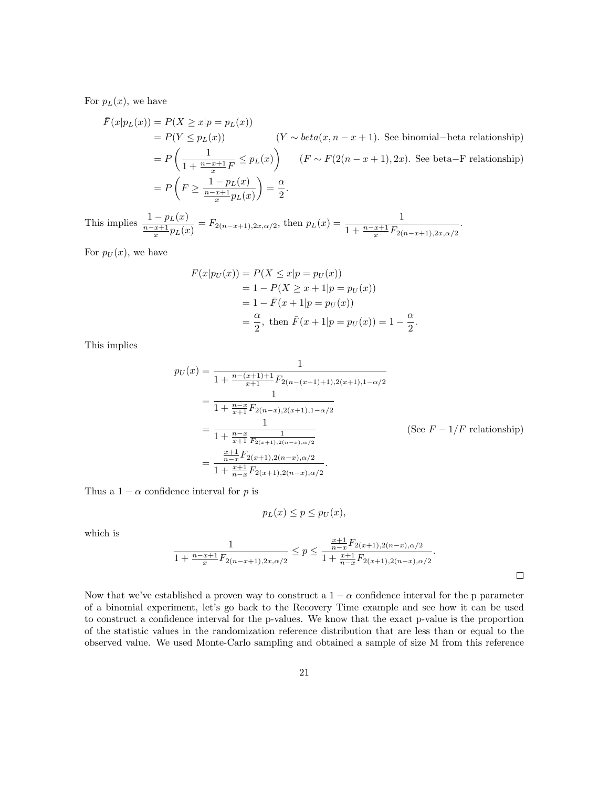For  $p_L(x)$ , we have

$$
\begin{aligned}\n\bar{F}(x|p_L(x)) &= P(X \ge x|p = p_L(x)) \\
&= P(Y \le p_L(x)) \qquad (Y \sim beta(x, n - x + 1). \text{ See binomial-beta relationship}) \\
&= P\left(\frac{1}{1 + \frac{n - x + 1}{x}F} \le p_L(x)\right) \qquad (F \sim F(2(n - x + 1), 2x). \text{ See beta-F relationship}) \\
&= P\left(F \ge \frac{1 - p_L(x)}{\frac{n - x + 1}{x}p_L(x)}\right) = \frac{\alpha}{2}.\n\end{aligned}
$$

This implies  $\frac{1 - p_L(x)}{\frac{n-x+1}{x}p_L(x)} = F_{2(n-x+1),2x,\alpha/2}$ , then  $p_L(x) = \frac{1}{1 + \frac{n-x+1}{x}F_{2(n-x+1),2x,\alpha/2}}$ .

For  $p_U(x)$ , we have

$$
F(x|p_U(x)) = P(X \le x|p = p_U(x))
$$
  
= 1 - P(X \ge x + 1|p = p\_U(x))  
= 1 - \bar{F}(x + 1|p = p\_U(x))  
= \frac{\alpha}{2}, \text{ then } \bar{F}(x + 1|p = p\_U(x)) = 1 - \frac{\alpha}{2}

This implies

$$
p_U(x) = \frac{1}{1 + \frac{n - (x+1) + 1}{x+1} F_{2(n-(x+1)+1),2(x+1),1-\alpha/2}}
$$
  
= 
$$
\frac{1}{1 + \frac{n - x}{x+1} F_{2(n-x),2(x+1),1-\alpha/2}}
$$
  
= 
$$
\frac{1}{1 + \frac{n - x}{x+1} \frac{1}{F_{2(x+1),2(n-x),\alpha/2}}}
$$
 (See  $F - 1/F$  relationship)  
= 
$$
\frac{\frac{x+1}{n-x} F_{2(x+1),2(n-x),\alpha/2}}{1 + \frac{x+1}{n-x} F_{2(x+1),2(n-x),\alpha/2}}.
$$

.

Thus a  $1 - \alpha$  confidence interval for p is

$$
p_L(x) \le p \le p_U(x),
$$

which is

$$
\frac{1}{1 + \frac{n - x + 1}{x} F_{2(n - x + 1), 2x, \alpha/2}} \le p \le \frac{\frac{x + 1}{n - x} F_{2(n + 1), 2(n - x), \alpha/2}}{1 + \frac{x + 1}{n - x} F_{2(n + 1), 2(n - x), \alpha/2}}.
$$

Now that we've established a proven way to construct a  $1 - \alpha$  confidence interval for the p parameter of a binomial experiment, let's go back to the Recovery Time example and see how it can be used to construct a confidence interval for the p-values. We know that the exact p-value is the proportion of the statistic values in the randomization reference distribution that are less than or equal to the observed value. We used Monte-Carlo sampling and obtained a sample of size M from this reference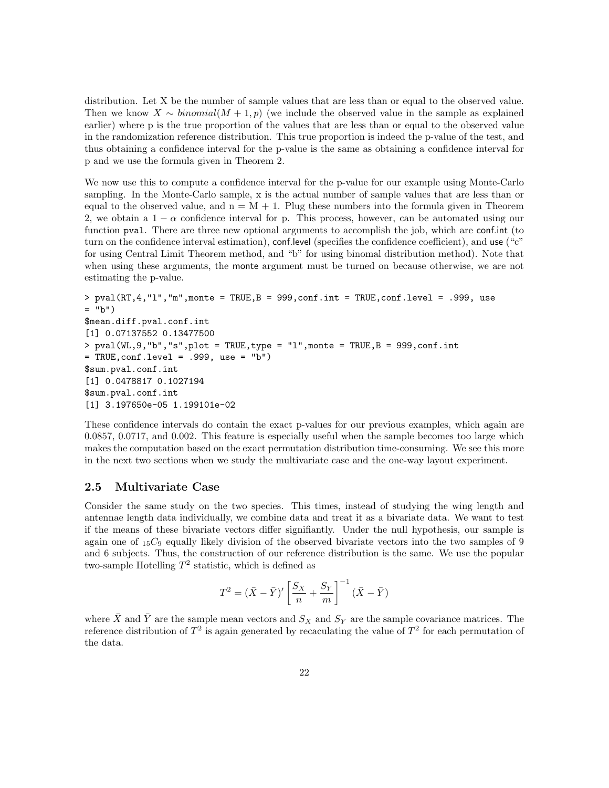distribution. Let X be the number of sample values that are less than or equal to the observed value. Then we know  $X \sim binomial(M + 1, p)$  (we include the observed value in the sample as explained earlier) where p is the true proportion of the values that are less than or equal to the observed value in the randomization reference distribution. This true proportion is indeed the p-value of the test, and thus obtaining a confidence interval for the p-value is the same as obtaining a confidence interval for p and we use the formula given in Theorem 2.

We now use this to compute a confidence interval for the p-value for our example using Monte-Carlo sampling. In the Monte-Carlo sample, x is the actual number of sample values that are less than or equal to the observed value, and  $n = M + 1$ . Plug these numbers into the formula given in Theorem 2, we obtain a  $1 - \alpha$  confidence interval for p. This process, however, can be automated using our function pval. There are three new optional arguments to accomplish the job, which are conf.int (to turn on the confidence interval estimation), conflevel (specifies the confidence coefficient), and use ("c" for using Central Limit Theorem method, and "b" for using binomal distribution method). Note that when using these arguments, the monte argument must be turned on because otherwise, we are not estimating the p-value.

```
> pval(RT, 4, "1", "m",monte = TRUE, B = 999, conf.int = TRUE, conf.level = .999, use
= "b")
$mean.diff.pval.conf.int
[1] 0.07137552 0.13477500
> pval(WL, 9, "b", "s", plot = TRUE, type = "l", monte = TRUE, B = 999, conf.int
= TRUE, conf.level = .999, use = "b")
$sum.pval.conf.int
[1] 0.0478817 0.1027194
$sum.pval.conf.int
[1] 3.197650e-05 1.199101e-02
```
These confidence intervals do contain the exact p-values for our previous examples, which again are 0.0857, 0.0717, and 0.002. This feature is especially useful when the sample becomes too large which makes the computation based on the exact permutation distribution time-consuming. We see this more in the next two sections when we study the multivariate case and the one-way layout experiment.

#### 2.5 Multivariate Case

Consider the same study on the two species. This times, instead of studying the wing length and antennae length data individually, we combine data and treat it as a bivariate data. We want to test if the means of these bivariate vectors differ signifiantly. Under the null hypothesis, our sample is again one of  $_{15}C_9$  equally likely division of the observed bivariate vectors into the two samples of 9 and 6 subjects. Thus, the construction of our reference distribution is the same. We use the popular two-sample Hotelling  $T^2$  statistic, which is defined as

$$
T^2 = (\bar{X} - \bar{Y})' \left[ \frac{S_X}{n} + \frac{S_Y}{m} \right]^{-1} (\bar{X} - \bar{Y})
$$

where  $\bar{X}$  and  $\bar{Y}$  are the sample mean vectors and  $S_X$  and  $S_Y$  are the sample covariance matrices. The reference distribution of  $T^2$  is again generated by recaculating the value of  $T^2$  for each permutation of the data.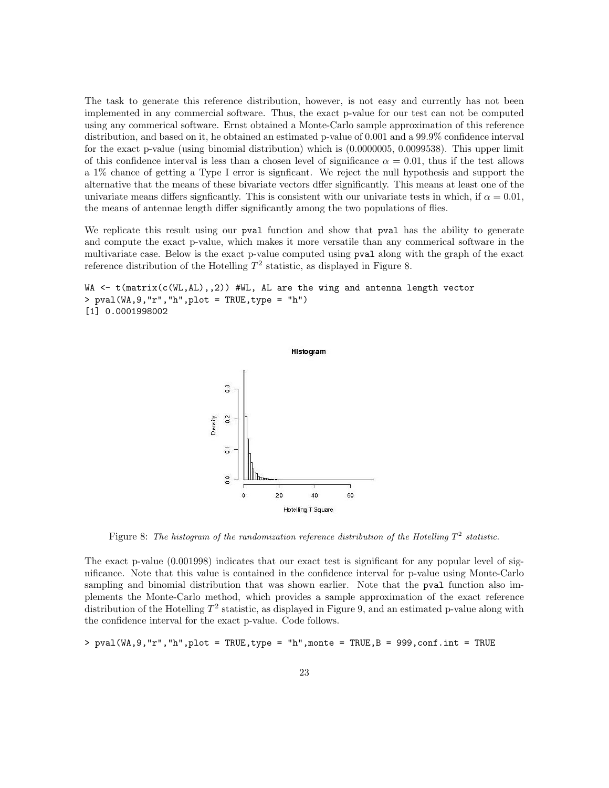The task to generate this reference distribution, however, is not easy and currently has not been implemented in any commercial software. Thus, the exact p-value for our test can not be computed using any commerical software. Ernst obtained a Monte-Carlo sample approximation of this reference distribution, and based on it, he obtained an estimated p-value of 0.001 and a 99.9% confidence interval for the exact p-value (using binomial distribution) which is (0.0000005, 0.0099538). This upper limit of this confidence interval is less than a chosen level of significance  $\alpha = 0.01$ , thus if the test allows a 1% chance of getting a Type I error is signficant. We reject the null hypothesis and support the alternative that the means of these bivariate vectors dffer significantly. This means at least one of the univariate means differs signficantly. This is consistent with our univariate tests in which, if  $\alpha = 0.01$ , the means of antennae length differ significantly among the two populations of flies.

We replicate this result using our **pval** function and show that **pval** has the ability to generate and compute the exact p-value, which makes it more versatile than any commerical software in the multivariate case. Below is the exact p-value computed using pval along with the graph of the exact reference distribution of the Hotelling  $T^2$  statistic, as displayed in Figure 8.

```
WA <- t(matrix(c(WL,AL),,2)) #WL, AL are the wing and antenna length vector
> pval(WA,9,"r","h",plot = TRUE,type = "h")
[1] 0.0001998002
```


Figure 8: The histogram of the randomization reference distribution of the Hotelling  $T^2$  statistic.

The exact p-value (0.001998) indicates that our exact test is significant for any popular level of significance. Note that this value is contained in the confidence interval for p-value using Monte-Carlo sampling and binomial distribution that was shown earlier. Note that the pval function also implements the Monte-Carlo method, which provides a sample approximation of the exact reference distribution of the Hotelling  $T^2$  statistic, as displayed in Figure 9, and an estimated p-value along with the confidence interval for the exact p-value. Code follows.

 $>$  pval(WA,9,"r","h",plot = TRUE,type = "h",monte = TRUE,B = 999,conf.int = TRUE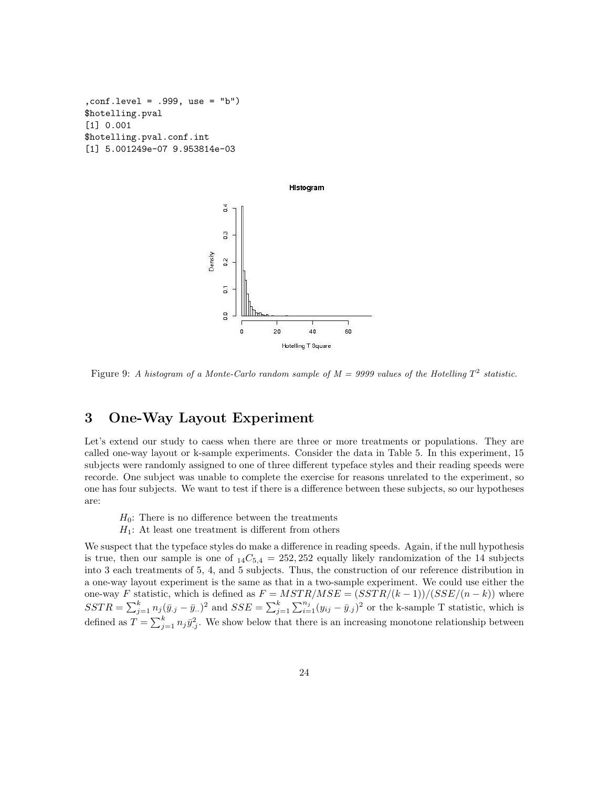```
,conf.level = .999, use = "b")
$hotelling.pval
[1] 0.001
$hotelling.pval.conf.int
[1] 5.001249e-07 9.953814e-03
```


Figure 9: A histogram of a Monte-Carlo random sample of  $M = 9999$  values of the Hotelling  $T^2$  statistic.

## 3 One-Way Layout Experiment

Let's extend our study to caess when there are three or more treatments or populations. They are called one-way layout or k-sample experiments. Consider the data in Table 5. In this experiment, 15 subjects were randomly assigned to one of three different typeface styles and their reading speeds were recorde. One subject was unable to complete the exercise for reasons unrelated to the experiment, so one has four subjects. We want to test if there is a difference between these subjects, so our hypotheses are:

 $H_0$ : There is no difference between the treatments  $H_1$ : At least one treatment is different from others

We suspect that the typeface styles do make a difference in reading speeds. Again, if the null hypothesis is true, then our sample is one of  $_{14}C_{5,4} = 252,252$  equally likely randomization of the 14 subjects into 3 each treatments of 5, 4, and 5 subjects. Thus, the construction of our reference distribution in a one-way layout experiment is the same as that in a two-sample experiment. We could use either the one-way F statistic, which is defined as  $F = MSTR/MSE = (SSTR/(k-1))/(SSE/(n-k))$  where  $SSTR = \sum_{j=1}^{k} n_j (\bar{y}_{.j} - \bar{y}_{..})^2$  and  $SSE = \sum_{j=1}^{k} \sum_{i=1}^{n_j} (y_{ij} - \bar{y}_{.j})^2$  or the k-sample T statistic, which is defined as  $T = \sum_{j=1}^{k} n_j \bar{y}_{.j}^2$ . We show below that there is an increasing monotone relationship between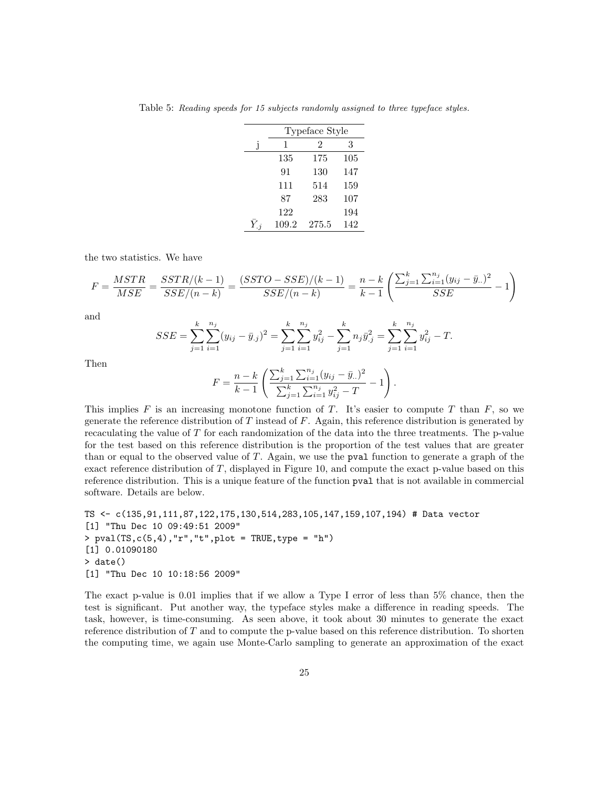Table 5: Reading speeds for 15 subjects randomly assigned to three typeface styles.

| Typeface Style |       |     |  |  |  |  |  |
|----------------|-------|-----|--|--|--|--|--|
| 1              | 2     | 3   |  |  |  |  |  |
| 135            | 175   | 105 |  |  |  |  |  |
| 91             | 130   | 147 |  |  |  |  |  |
| 111            | 514   | 159 |  |  |  |  |  |
| 87             | 283   | 107 |  |  |  |  |  |
| 122            |       | 194 |  |  |  |  |  |
| 109.2          | 275.5 | 142 |  |  |  |  |  |

the two statistics. We have

$$
F = \frac{MSTR}{MSE} = \frac{SSTR/(k-1)}{SSE/(n-k)} = \frac{(SSTO - SSE)/(k-1)}{SSE/(n-k)} = \frac{n-k}{k-1} \left( \frac{\sum_{j=1}^{k} \sum_{i=1}^{n_j} (y_{ij} - \bar{y}_{..})^2}{SSE} - 1 \right)
$$

and

$$
SSE = \sum_{j=1}^{k} \sum_{i=1}^{n_j} (y_{ij} - \bar{y}_{.j})^2 = \sum_{j=1}^{k} \sum_{i=1}^{n_j} y_{ij}^2 - \sum_{j=1}^{k} n_j \bar{y}_{.j}^2 = \sum_{j=1}^{k} \sum_{i=1}^{n_j} y_{ij}^2 - T.
$$

Then

$$
F = \frac{n-k}{k-1} \left( \frac{\sum_{j=1}^{k} \sum_{i=1}^{n_j} (y_{ij} - \bar{y}_{..})^2}{\sum_{j=1}^{k} \sum_{i=1}^{n_j} y_{ij}^2 - T} - 1 \right).
$$

This implies F is an increasing monotone function of T. It's easier to compute T than  $F$ , so we generate the reference distribution of  $T$  instead of  $F$ . Again, this reference distribution is generated by recaculating the value of T for each randomization of the data into the three treatments. The p-value for the test based on this reference distribution is the proportion of the test values that are greater than or equal to the observed value of T. Again, we use the pval function to generate a graph of the exact reference distribution of  $T$ , displayed in Figure 10, and compute the exact p-value based on this reference distribution. This is a unique feature of the function pval that is not available in commercial software. Details are below.

```
TS <- c(135,91,111,87,122,175,130,514,283,105,147,159,107,194) # Data vector
[1] "Thu Dec 10 09:49:51 2009"
> pval(TS,c(5,4),"r","t",plot = TRUE,type = "h")
[1] 0.01090180
> date()
[1] "Thu Dec 10 10:18:56 2009"
```
The exact p-value is 0.01 implies that if we allow a Type I error of less than 5% chance, then the test is significant. Put another way, the typeface styles make a difference in reading speeds. The task, however, is time-consuming. As seen above, it took about 30 minutes to generate the exact reference distribution of T and to compute the p-value based on this reference distribution. To shorten the computing time, we again use Monte-Carlo sampling to generate an approximation of the exact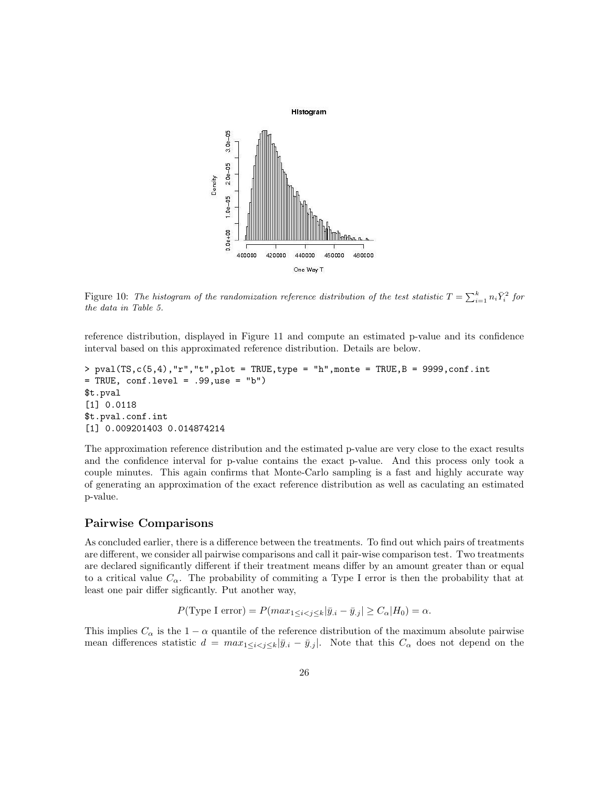

Figure 10: The histogram of the randomization reference distribution of the test statistic  $T = \sum_{i=1}^{k} n_i \bar{Y}_i^2$  for the data in Table 5.

reference distribution, displayed in Figure 11 and compute an estimated p-value and its confidence interval based on this approximated reference distribution. Details are below.

```
> pval(TS,c(5,4),"r","t",plot = TRUE,type = "h",monte = TRUE,B = 9999,conf.int
= TRUE, conf.level = .99,use = "b")
$t.pval
[1] 0.0118
$t.pval.conf.int
[1] 0.009201403 0.014874214
```
The approximation reference distribution and the estimated p-value are very close to the exact results and the confidence interval for p-value contains the exact p-value. And this process only took a couple minutes. This again confirms that Monte-Carlo sampling is a fast and highly accurate way of generating an approximation of the exact reference distribution as well as caculating an estimated p-value.

#### Pairwise Comparisons

As concluded earlier, there is a difference between the treatments. To find out which pairs of treatments are different, we consider all pairwise comparisons and call it pair-wise comparison test. Two treatments are declared significantly different if their treatment means differ by an amount greater than or equal to a critical value  $C_{\alpha}$ . The probability of commiting a Type I error is then the probability that at least one pair differ sigficantly. Put another way,

$$
P(\text{Type I error}) = P(max_{1 \le i < j \le k}|\bar{y}_{.i} - \bar{y}_{.j}| \ge C_{\alpha}|H_0) = \alpha.
$$

This implies  $C_{\alpha}$  is the 1 −  $\alpha$  quantile of the reference distribution of the maximum absolute pairwise mean differences statistic  $d = max_{1 \leq i < j \leq k} |\bar{y}_{i} - \bar{y}_{.j}|$ . Note that this  $C_{\alpha}$  does not depend on the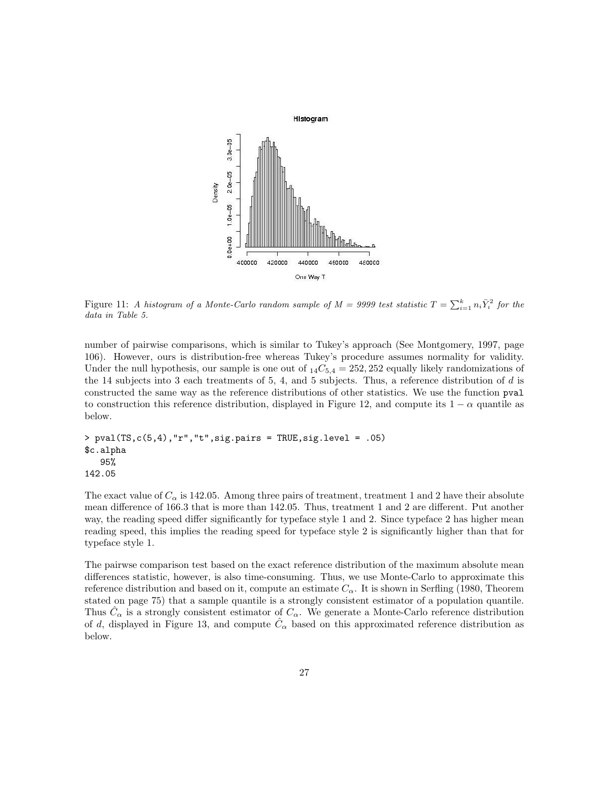

Figure 11: A histogram of a Monte-Carlo random sample of  $M = 9999$  test statistic  $T = \sum_{i=1}^{k} n_i \bar{Y}_i^2$  for the data in Table 5.

number of pairwise comparisons, which is similar to Tukey's approach (See Montgomery, 1997, page 106). However, ours is distribution-free whereas Tukey's procedure assumes normality for validity. Under the null hypothesis, our sample is one out of  $_{14}C_{5,4} = 252,252$  equally likely randomizations of the 14 subjects into 3 each treatments of 5, 4, and 5 subjects. Thus, a reference distribution of  $d$  is constructed the same way as the reference distributions of other statistics. We use the function pval to construction this reference distribution, displayed in Figure 12, and compute its  $1 - \alpha$  quantile as below.

```
> pval(TS,c(5,4),"r","t",sig.pairs = TRUE,sig.level = .05)
$c.alpha
  95%
142.05
```
The exact value of  $C_{\alpha}$  is 142.05. Among three pairs of treatment, treatment 1 and 2 have their absolute mean difference of 166.3 that is more than 142.05. Thus, treatment 1 and 2 are different. Put another way, the reading speed differ significantly for typeface style 1 and 2. Since typeface 2 has higher mean reading speed, this implies the reading speed for typeface style 2 is significantly higher than that for typeface style 1.

The pairwse comparison test based on the exact reference distribution of the maximum absolute mean differences statistic, however, is also time-consuming. Thus, we use Monte-Carlo to approximate this reference distribution and based on it, compute an estimate  $C_{\alpha}$ . It is shown in Serfling (1980, Theorem stated on page 75) that a sample quantile is a strongly consistent estimator of a population quantile. Thus  $\hat{C}_{\alpha}$  is a strongly consistent estimator of  $C_{\alpha}$ . We generate a Monte-Carlo reference distribution of d, displayed in Figure 13, and compute  $\hat{C}_{\alpha}$  based on this approximated reference distribution as below.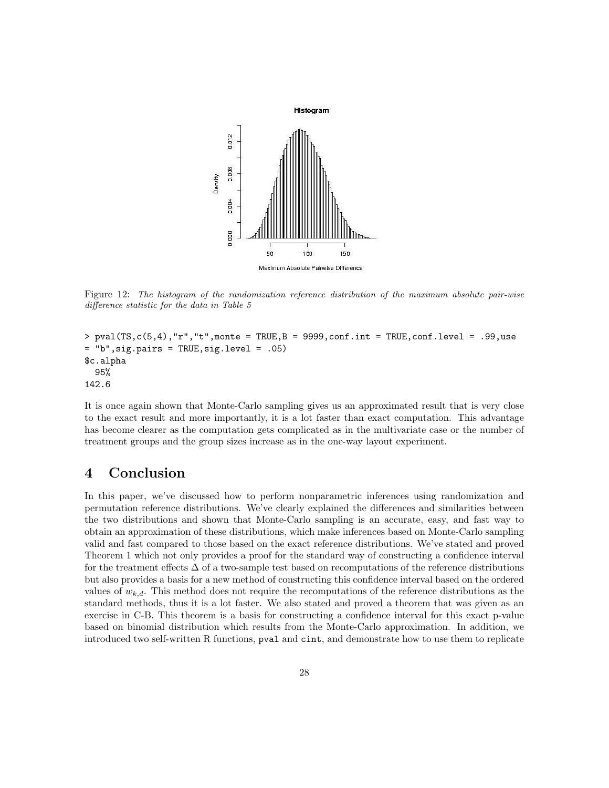

Figure 12: The histogram of the randomization reference distribution of the maximum absolute pair-wise difference statistic for the data in Table 5

```
> pval(TS,c(5,4),"r","t",monte = TRUE,B = 9999,conf.int = TRUE,conf.level = .99,use
= "b",sig.pairs = TRUE,sig.level = .05)
$c.alpha
  95%
142.6
```
It is once again shown that Monte-Carlo sampling gives us an approximated result that is very close to the exact result and more importantly, it is a lot faster than exact computation. This advantage has become clearer as the computation gets complicated as in the multivariate case or the number of treatment groups and the group sizes increase as in the one-way layout experiment.

## 4 Conclusion

In this paper, we've discussed how to perform nonparametric inferences using randomization and permutation reference distributions. We've clearly explained the differences and similarities between the two distributions and shown that Monte-Carlo sampling is an accurate, easy, and fast way to obtain an approximation of these distributions, which make inferences based on Monte-Carlo sampling valid and fast compared to those based on the exact reference distributions. We've stated and proved Theorem 1 which not only provides a proof for the standard way of constructing a confidence interval for the treatment effects  $\Delta$  of a two-sample test based on recomputations of the reference distributions but also provides a basis for a new method of constructing this confidence interval based on the ordered values of  $w_{k,d}$ . This method does not require the recomputations of the reference distributions as the standard methods, thus it is a lot faster. We also stated and proved a theorem that was given as an exercise in C-B. This theorem is a basis for constructing a confidence interval for this exact p-value based on binomial distribution which results from the Monte-Carlo approximation. In addition, we introduced two self-written R functions, pval and cint, and demonstrate how to use them to replicate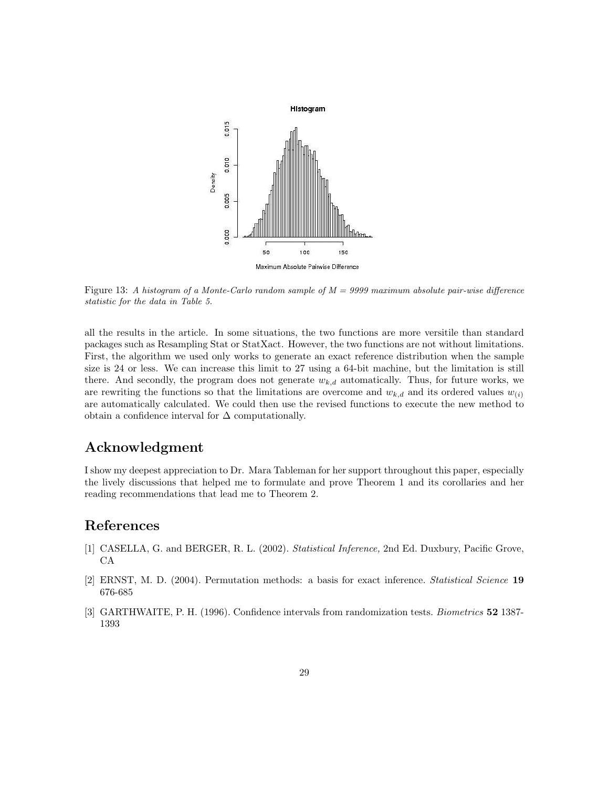

Figure 13: A histogram of a Monte-Carlo random sample of  $M = 9999$  maximum absolute pair-wise difference statistic for the data in Table 5.

all the results in the article. In some situations, the two functions are more versitile than standard packages such as Resampling Stat or StatXact. However, the two functions are not without limitations. First, the algorithm we used only works to generate an exact reference distribution when the sample size is 24 or less. We can increase this limit to 27 using a 64-bit machine, but the limitation is still there. And secondly, the program does not generate  $w_{k,d}$  automatically. Thus, for future works, we are rewriting the functions so that the limitations are overcome and  $w_{k,d}$  and its ordered values  $w_{(i)}$ are automatically calculated. We could then use the revised functions to execute the new method to obtain a confidence interval for  $\Delta$  computationally.

## Acknowledgment

I show my deepest appreciation to Dr. Mara Tableman for her support throughout this paper, especially the lively discussions that helped me to formulate and prove Theorem 1 and its corollaries and her reading recommendations that lead me to Theorem 2.

## References

- [1] CASELLA, G. and BERGER, R. L. (2002). Statistical Inference, 2nd Ed. Duxbury, Pacific Grove, CA
- [2] ERNST, M. D. (2004). Permutation methods: a basis for exact inference. Statistical Science 19 676-685
- [3] GARTHWAITE, P. H. (1996). Confidence intervals from randomization tests. Biometrics 52 1387- 1393